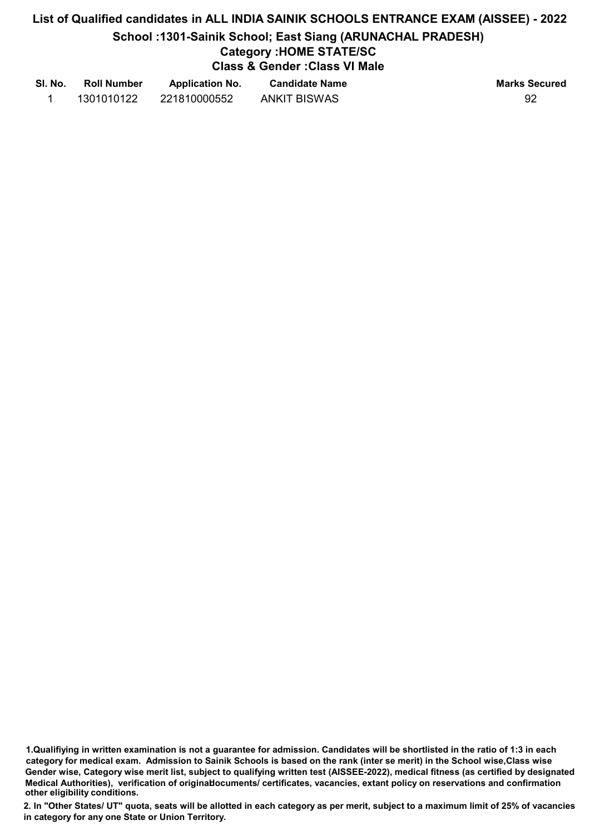### List of Qualified candidates in ALL INDIA SAINIK SCHOOLS ENTRANCE EXAM (AISSEE) - 2022 School :1301-Sainik School; East Siang (ARUNACHAL PRADESH) Category :HOME STATE/SC Class & Gender :Class VI Male Sl. No. Roll Number Application No. Candidate Name Marks Secured

| 31. NU. | KUII NUIIIDEI | Application No. | <b>Calluluale Naille</b> | IVIAINS SECUIE( |
|---------|---------------|-----------------|--------------------------|-----------------|
|         | 1301010122    | 221810000552    | <b>ANKIT BISWAS</b>      | 92              |

<sup>1.</sup>Qualifiying in written examination is not a guarantee for admission. Candidates will be shortlisted in the ratio of 1:3 in each category for medical exam. Admission to Sainik Schools is based on the rank (inter se merit) in the School wise,Class wise Gender wise, Category wise merit list, subject to qualifying written test (AISSEE-2022), medical fitness (as certified by designated Medical Authorities), verification of originablocuments/ certificates, vacancies, extant policy on reservations and confirmation other eligibility conditions.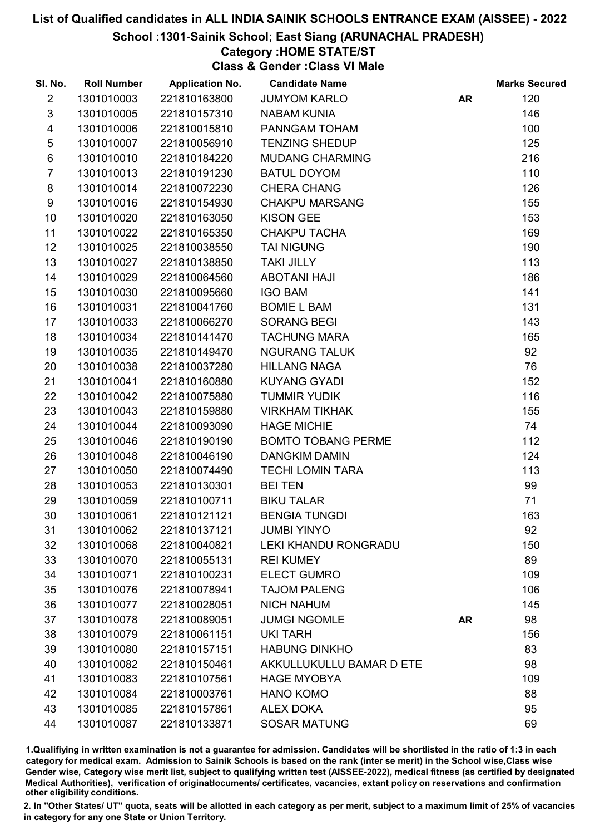## School :1301-Sainik School; East Siang (ARUNACHAL PRADESH)

## Category :HOME STATE/ST

Class & Gender :Class VI Male

| SI. No.                 | <b>Roll Number</b> | <b>Application No.</b> | <b>Candidate Name</b>       |           | <b>Marks Secured</b> |
|-------------------------|--------------------|------------------------|-----------------------------|-----------|----------------------|
| $\overline{2}$          | 1301010003         | 221810163800           | <b>JUMYOM KARLO</b>         | <b>AR</b> | 120                  |
| 3                       | 1301010005         | 221810157310           | <b>NABAM KUNIA</b>          |           | 146                  |
| $\overline{\mathbf{4}}$ | 1301010006         | 221810015810           | PANNGAM TOHAM               |           | 100                  |
| 5                       | 1301010007         | 221810056910           | <b>TENZING SHEDUP</b>       |           | 125                  |
| 6                       | 1301010010         | 221810184220           | <b>MUDANG CHARMING</b>      |           | 216                  |
| $\overline{7}$          | 1301010013         | 221810191230           | <b>BATUL DOYOM</b>          |           | 110                  |
| 8                       | 1301010014         | 221810072230           | <b>CHERA CHANG</b>          |           | 126                  |
| 9                       | 1301010016         | 221810154930           | <b>CHAKPU MARSANG</b>       |           | 155                  |
| 10                      | 1301010020         | 221810163050           | <b>KISON GEE</b>            |           | 153                  |
| 11                      | 1301010022         | 221810165350           | CHAKPU TACHA                |           | 169                  |
| 12                      | 1301010025         | 221810038550           | <b>TAI NIGUNG</b>           |           | 190                  |
| 13                      | 1301010027         | 221810138850           | <b>TAKI JILLY</b>           |           | 113                  |
| 14                      | 1301010029         | 221810064560           | <b>ABOTANI HAJI</b>         |           | 186                  |
| 15                      | 1301010030         | 221810095660           | <b>IGO BAM</b>              |           | 141                  |
| 16                      | 1301010031         | 221810041760           | <b>BOMIE L BAM</b>          |           | 131                  |
| 17                      | 1301010033         | 221810066270           | <b>SORANG BEGI</b>          |           | 143                  |
| 18                      | 1301010034         | 221810141470           | <b>TACHUNG MARA</b>         |           | 165                  |
| 19                      | 1301010035         | 221810149470           | <b>NGURANG TALUK</b>        |           | 92                   |
| 20                      | 1301010038         | 221810037280           | <b>HILLANG NAGA</b>         |           | 76                   |
| 21                      | 1301010041         | 221810160880           | <b>KUYANG GYADI</b>         |           | 152                  |
| 22                      | 1301010042         | 221810075880           | <b>TUMMIR YUDIK</b>         |           | 116                  |
| 23                      | 1301010043         | 221810159880           | <b>VIRKHAM TIKHAK</b>       |           | 155                  |
| 24                      | 1301010044         | 221810093090           | <b>HAGE MICHIE</b>          |           | 74                   |
| 25                      | 1301010046         | 221810190190           | <b>BOMTO TOBANG PERME</b>   |           | 112                  |
| 26                      | 1301010048         | 221810046190           | <b>DANGKIM DAMIN</b>        |           | 124                  |
| 27                      | 1301010050         | 221810074490           | <b>TECHI LOMIN TARA</b>     |           | 113                  |
| 28                      | 1301010053         | 221810130301           | <b>BEI TEN</b>              |           | 99                   |
| 29                      | 1301010059         | 221810100711           | <b>BIKU TALAR</b>           |           | 71                   |
| 30                      | 1301010061         | 221810121121           | <b>BENGIA TUNGDI</b>        |           | 163                  |
| 31                      | 1301010062         | 221810137121           | <b>JUMBI YINYO</b>          |           | 92                   |
| 32                      | 1301010068         | 221810040821           | <b>LEKI KHANDU RONGRADU</b> |           | 150                  |
| 33                      | 1301010070         | 221810055131           | <b>REI KUMEY</b>            |           | 89                   |
| 34                      | 1301010071         | 221810100231           | <b>ELECT GUMRO</b>          |           | 109                  |
| 35                      | 1301010076         | 221810078941           | <b>TAJOM PALENG</b>         |           | 106                  |
| 36                      | 1301010077         | 221810028051           | <b>NICH NAHUM</b>           |           | 145                  |
| 37                      | 1301010078         | 221810089051           | <b>JUMGI NGOMLE</b>         | <b>AR</b> | 98                   |
| 38                      | 1301010079         | 221810061151           | <b>UKI TARH</b>             |           | 156                  |
| 39                      | 1301010080         | 221810157151           | <b>HABUNG DINKHO</b>        |           | 83                   |
| 40                      | 1301010082         | 221810150461           | AKKULLUKULLU BAMAR D ETE    |           | 98                   |
| 41                      | 1301010083         | 221810107561           | <b>HAGE MYOBYA</b>          |           | 109                  |
| 42                      | 1301010084         | 221810003761           | <b>HANO KOMO</b>            |           | 88                   |
| 43                      | 1301010085         | 221810157861           | <b>ALEX DOKA</b>            |           | 95                   |
| 44                      | 1301010087         | 221810133871           | <b>SOSAR MATUNG</b>         |           | 69                   |

1.Qualifiying in written examination is not a guarantee for admission. Candidates will be shortlisted in the ratio of 1:3 in each category for medical exam. Admission to Sainik Schools is based on the rank (inter se merit) in the School wise,Class wise Gender wise, Category wise merit list, subject to qualifying written test (AISSEE-2022), medical fitness (as certified by designated Medical Authorities), verification of originablocuments/ certificates, vacancies, extant policy on reservations and confirmation other eligibility conditions.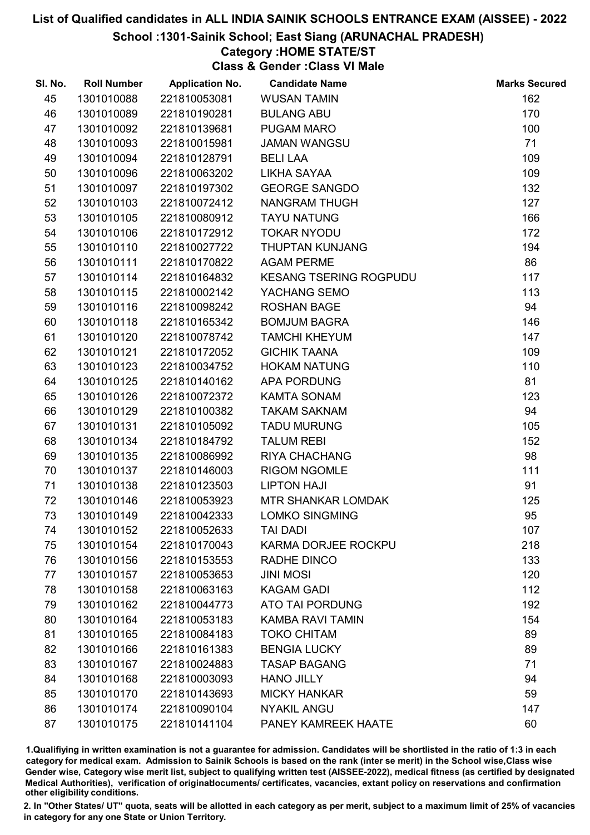School :1301-Sainik School; East Siang (ARUNACHAL PRADESH)

### Category :HOME STATE/ST

Class & Gender :Class VI Male

| SI. No. | <b>Roll Number</b> | <b>Application No.</b> | <b>Candidate Name</b>         | <b>Marks Secured</b> |
|---------|--------------------|------------------------|-------------------------------|----------------------|
| 45      | 1301010088         | 221810053081           | <b>WUSAN TAMIN</b>            | 162                  |
| 46      | 1301010089         | 221810190281           | <b>BULANG ABU</b>             | 170                  |
| 47      | 1301010092         | 221810139681           | <b>PUGAM MARO</b>             | 100                  |
| 48      | 1301010093         | 221810015981           | <b>JAMAN WANGSU</b>           | 71                   |
| 49      | 1301010094         | 221810128791           | <b>BELI LAA</b>               | 109                  |
| 50      | 1301010096         | 221810063202           | <b>LIKHA SAYAA</b>            | 109                  |
| 51      | 1301010097         | 221810197302           | <b>GEORGE SANGDO</b>          | 132                  |
| 52      | 1301010103         | 221810072412           | <b>NANGRAM THUGH</b>          | 127                  |
| 53      | 1301010105         | 221810080912           | <b>TAYU NATUNG</b>            | 166                  |
| 54      | 1301010106         | 221810172912           | <b>TOKAR NYODU</b>            | 172                  |
| 55      | 1301010110         | 221810027722           | <b>THUPTAN KUNJANG</b>        | 194                  |
| 56      | 1301010111         | 221810170822           | <b>AGAM PERME</b>             | 86                   |
| 57      | 1301010114         | 221810164832           | <b>KESANG TSERING ROGPUDU</b> | 117                  |
| 58      | 1301010115         | 221810002142           | YACHANG SEMO                  | 113                  |
| 59      | 1301010116         | 221810098242           | <b>ROSHAN BAGE</b>            | 94                   |
| 60      | 1301010118         | 221810165342           | <b>BOMJUM BAGRA</b>           | 146                  |
| 61      | 1301010120         | 221810078742           | <b>TAMCHI KHEYUM</b>          | 147                  |
| 62      | 1301010121         | 221810172052           | <b>GICHIK TAANA</b>           | 109                  |
| 63      | 1301010123         | 221810034752           | <b>HOKAM NATUNG</b>           | 110                  |
| 64      | 1301010125         | 221810140162           | <b>APA PORDUNG</b>            | 81                   |
| 65      | 1301010126         | 221810072372           | <b>KAMTA SONAM</b>            | 123                  |
| 66      | 1301010129         | 221810100382           | <b>TAKAM SAKNAM</b>           | 94                   |
| 67      | 1301010131         | 221810105092           | <b>TADU MURUNG</b>            | 105                  |
| 68      | 1301010134         | 221810184792           | <b>TALUM REBI</b>             | 152                  |
| 69      | 1301010135         | 221810086992           | <b>RIYA CHACHANG</b>          | 98                   |
| 70      | 1301010137         | 221810146003           | <b>RIGOM NGOMLE</b>           | 111                  |
| 71      | 1301010138         | 221810123503           | <b>LIPTON HAJI</b>            | 91                   |
| 72      | 1301010146         | 221810053923           | <b>MTR SHANKAR LOMDAK</b>     | 125                  |
| 73      | 1301010149         | 221810042333           | <b>LOMKO SINGMING</b>         | 95                   |
| 74      | 1301010152         | 221810052633           | TAI DADI                      | 107                  |
| 75      | 1301010154         | 221810170043           | KARMA DORJEE ROCKPU           | 218                  |
| 76      | 1301010156         | 221810153553           | RADHE DINCO                   | 133                  |
| 77      | 1301010157         | 221810053653           | <b>JINI MOSI</b>              | 120                  |
| 78      | 1301010158         | 221810063163           | <b>KAGAM GADI</b>             | 112                  |
| 79      | 1301010162         | 221810044773           | ATO TAI PORDUNG               | 192                  |
| 80      | 1301010164         | 221810053183           | <b>KAMBA RAVI TAMIN</b>       | 154                  |
| 81      | 1301010165         | 221810084183           | <b>TOKO CHITAM</b>            | 89                   |
| 82      | 1301010166         | 221810161383           | <b>BENGIA LUCKY</b>           | 89                   |
| 83      | 1301010167         | 221810024883           | <b>TASAP BAGANG</b>           | 71                   |
| 84      | 1301010168         | 221810003093           | <b>HANO JILLY</b>             | 94                   |
| 85      | 1301010170         | 221810143693           | <b>MICKY HANKAR</b>           | 59                   |
| 86      | 1301010174         | 221810090104           | <b>NYAKIL ANGU</b>            | 147                  |
| 87      | 1301010175         | 221810141104           | PANEY KAMREEK HAATE           | 60                   |

1.Qualifiying in written examination is not a guarantee for admission. Candidates will be shortlisted in the ratio of 1:3 in each category for medical exam. Admission to Sainik Schools is based on the rank (inter se merit) in the School wise,Class wise Gender wise, Category wise merit list, subject to qualifying written test (AISSEE-2022), medical fitness (as certified by designated Medical Authorities), verification of originablocuments/ certificates, vacancies, extant policy on reservations and confirmation other eligibility conditions.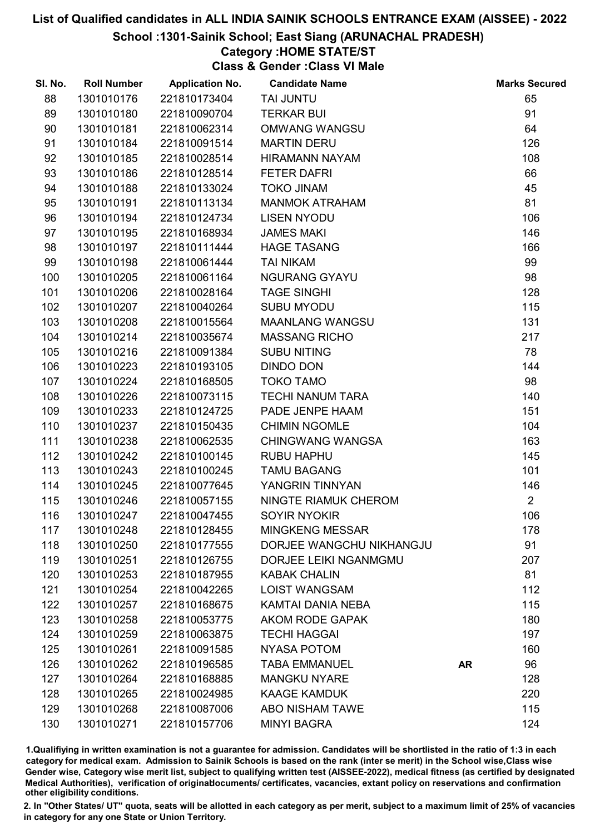School :1301-Sainik School; East Siang (ARUNACHAL PRADESH)

### Category :HOME STATE/ST

Class & Gender :Class VI Male

| SI. No. | <b>Roll Number</b> | <b>Application No.</b> | <b>Candidate Name</b>    |           | <b>Marks Secured</b> |
|---------|--------------------|------------------------|--------------------------|-----------|----------------------|
| 88      | 1301010176         | 221810173404           | <b>TAI JUNTU</b>         |           | 65                   |
| 89      | 1301010180         | 221810090704           | <b>TERKAR BUI</b>        |           | 91                   |
| 90      | 1301010181         | 221810062314           | <b>OMWANG WANGSU</b>     |           | 64                   |
| 91      | 1301010184         | 221810091514           | <b>MARTIN DERU</b>       |           | 126                  |
| 92      | 1301010185         | 221810028514           | <b>HIRAMANN NAYAM</b>    |           | 108                  |
| 93      | 1301010186         | 221810128514           | <b>FETER DAFRI</b>       |           | 66                   |
| 94      | 1301010188         | 221810133024           | <b>TOKO JINAM</b>        |           | 45                   |
| 95      | 1301010191         | 221810113134           | <b>MANMOK ATRAHAM</b>    |           | 81                   |
| 96      | 1301010194         | 221810124734           | <b>LISEN NYODU</b>       |           | 106                  |
| 97      | 1301010195         | 221810168934           | <b>JAMES MAKI</b>        |           | 146                  |
| 98      | 1301010197         | 221810111444           | <b>HAGE TASANG</b>       |           | 166                  |
| 99      | 1301010198         | 221810061444           | <b>TAI NIKAM</b>         |           | 99                   |
| 100     | 1301010205         | 221810061164           | <b>NGURANG GYAYU</b>     |           | 98                   |
| 101     | 1301010206         | 221810028164           | <b>TAGE SINGHI</b>       |           | 128                  |
| 102     | 1301010207         | 221810040264           | <b>SUBU MYODU</b>        |           | 115                  |
| 103     | 1301010208         | 221810015564           | <b>MAANLANG WANGSU</b>   |           | 131                  |
| 104     | 1301010214         | 221810035674           | <b>MASSANG RICHO</b>     |           | 217                  |
| 105     | 1301010216         | 221810091384           | <b>SUBU NITING</b>       |           | 78                   |
| 106     | 1301010223         | 221810193105           | <b>DINDO DON</b>         |           | 144                  |
| 107     | 1301010224         | 221810168505           | <b>TOKO TAMO</b>         |           | 98                   |
| 108     | 1301010226         | 221810073115           | <b>TECHI NANUM TARA</b>  |           | 140                  |
| 109     | 1301010233         | 221810124725           | PADE JENPE HAAM          |           | 151                  |
| 110     | 1301010237         | 221810150435           | <b>CHIMIN NGOMLE</b>     |           | 104                  |
| 111     | 1301010238         | 221810062535           | <b>CHINGWANG WANGSA</b>  |           | 163                  |
| 112     | 1301010242         | 221810100145           | <b>RUBU HAPHU</b>        |           | 145                  |
| 113     | 1301010243         | 221810100245           | <b>TAMU BAGANG</b>       |           | 101                  |
| 114     | 1301010245         | 221810077645           | YANGRIN TINNYAN          |           | 146                  |
| 115     | 1301010246         | 221810057155           | NINGTE RIAMUK CHEROM     |           | $\overline{2}$       |
| 116     | 1301010247         | 221810047455           | <b>SOYIR NYOKIR</b>      |           | 106                  |
| 117     | 1301010248         | 221810128455           | <b>MINGKENG MESSAR</b>   |           | 178                  |
| 118     | 1301010250         | 221810177555           | DORJEE WANGCHU NIKHANGJU |           | 91                   |
| 119     | 1301010251         | 221810126755           | DORJEE LEIKI NGANMGMU    |           | 207                  |
| 120     | 1301010253         | 221810187955           | <b>KABAK CHALIN</b>      |           | 81                   |
| 121     | 1301010254         | 221810042265           | <b>LOIST WANGSAM</b>     |           | 112                  |
| 122     | 1301010257         | 221810168675           | KAMTAI DANIA NEBA        |           | 115                  |
| 123     | 1301010258         | 221810053775           | AKOM RODE GAPAK          |           | 180                  |
| 124     | 1301010259         | 221810063875           | <b>TECHI HAGGAI</b>      |           | 197                  |
| 125     | 1301010261         | 221810091585           | <b>NYASA POTOM</b>       |           | 160                  |
| 126     | 1301010262         | 221810196585           | <b>TABA EMMANUEL</b>     | <b>AR</b> | 96                   |
| 127     | 1301010264         | 221810168885           | <b>MANGKU NYARE</b>      |           | 128                  |
| 128     | 1301010265         | 221810024985           | <b>KAAGE KAMDUK</b>      |           | 220                  |
| 129     | 1301010268         | 221810087006           | <b>ABO NISHAM TAWE</b>   |           | 115                  |
| 130     | 1301010271         | 221810157706           | <b>MINYI BAGRA</b>       |           | 124                  |

1.Qualifiying in written examination is not a guarantee for admission. Candidates will be shortlisted in the ratio of 1:3 in each category for medical exam. Admission to Sainik Schools is based on the rank (inter se merit) in the School wise,Class wise Gender wise, Category wise merit list, subject to qualifying written test (AISSEE-2022), medical fitness (as certified by designated Medical Authorities), verification of originablocuments/ certificates, vacancies, extant policy on reservations and confirmation other eligibility conditions.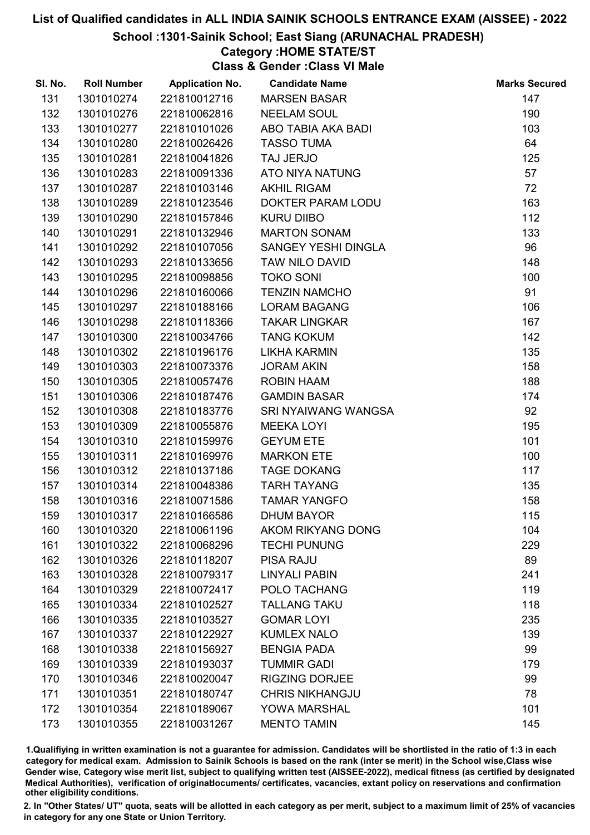## School :1301-Sainik School; East Siang (ARUNACHAL PRADESH)

### Category :HOME STATE/ST

Class & Gender :Class VI Male

| SI. No. | <b>Roll Number</b> | <b>Application No.</b> | <b>Candidate Name</b>    | <b>Marks Secured</b> |
|---------|--------------------|------------------------|--------------------------|----------------------|
| 131     | 1301010274         | 221810012716           | <b>MARSEN BASAR</b>      | 147                  |
| 132     | 1301010276         | 221810062816           | <b>NEELAM SOUL</b>       | 190                  |
| 133     | 1301010277         | 221810101026           | ABO TABIA AKA BADI       | 103                  |
| 134     | 1301010280         | 221810026426           | <b>TASSO TUMA</b>        | 64                   |
| 135     | 1301010281         | 221810041826           | TAJ JERJO                | 125                  |
| 136     | 1301010283         | 221810091336           | ATO NIYA NATUNG          | 57                   |
| 137     | 1301010287         | 221810103146           | <b>AKHIL RIGAM</b>       | 72                   |
| 138     | 1301010289         | 221810123546           | DOKTER PARAM LODU        | 163                  |
| 139     | 1301010290         | 221810157846           | <b>KURU DIIBO</b>        | 112                  |
| 140     | 1301010291         | 221810132946           | <b>MARTON SONAM</b>      | 133                  |
| 141     | 1301010292         | 221810107056           | SANGEY YESHI DINGLA      | 96                   |
| 142     | 1301010293         | 221810133656           | <b>TAW NILO DAVID</b>    | 148                  |
| 143     | 1301010295         | 221810098856           | <b>TOKO SONI</b>         | 100                  |
| 144     | 1301010296         | 221810160066           | <b>TENZIN NAMCHO</b>     | 91                   |
| 145     | 1301010297         | 221810188166           | <b>LORAM BAGANG</b>      | 106                  |
| 146     | 1301010298         | 221810118366           | <b>TAKAR LINGKAR</b>     | 167                  |
| 147     | 1301010300         | 221810034766           | <b>TANG KOKUM</b>        | 142                  |
| 148     | 1301010302         | 221810196176           | <b>LIKHA KARMIN</b>      | 135                  |
| 149     | 1301010303         | 221810073376           | <b>JORAM AKIN</b>        | 158                  |
| 150     | 1301010305         | 221810057476           | <b>ROBIN HAAM</b>        | 188                  |
| 151     | 1301010306         | 221810187476           | <b>GAMDIN BASAR</b>      | 174                  |
| 152     | 1301010308         | 221810183776           | SRI NYAIWANG WANGSA      | 92                   |
| 153     | 1301010309         | 221810055876           | <b>MEEKA LOYI</b>        | 195                  |
| 154     | 1301010310         | 221810159976           | <b>GEYUM ETE</b>         | 101                  |
| 155     | 1301010311         | 221810169976           | <b>MARKON ETE</b>        | 100                  |
| 156     | 1301010312         | 221810137186           | <b>TAGE DOKANG</b>       | 117                  |
| 157     | 1301010314         | 221810048386           | <b>TARH TAYANG</b>       | 135                  |
| 158     | 1301010316         | 221810071586           | <b>TAMAR YANGFO</b>      | 158                  |
| 159     | 1301010317         | 221810166586           | <b>DHUM BAYOR</b>        | 115                  |
| 160     | 1301010320         | 221810061196           | <b>AKOM RIKYANG DONG</b> | 104                  |
| 161     | 1301010322         | 221810068296           | <b>TECHI PUNUNG</b>      | 229                  |
| 162     | 1301010326         | 221810118207           | <b>PISA RAJU</b>         | 89                   |
| 163     | 1301010328         | 221810079317           | <b>LINYALI PABIN</b>     | 241                  |
| 164     | 1301010329         | 221810072417           | POLO TACHANG             | 119                  |
| 165     | 1301010334         | 221810102527           | <b>TALLANG TAKU</b>      | 118                  |
| 166     | 1301010335         | 221810103527           | <b>GOMAR LOYI</b>        | 235                  |
| 167     | 1301010337         | 221810122927           | <b>KUMLEX NALO</b>       | 139                  |
| 168     | 1301010338         | 221810156927           | <b>BENGIA PADA</b>       | 99                   |
| 169     | 1301010339         | 221810193037           | <b>TUMMIR GADI</b>       | 179                  |
| 170     | 1301010346         | 221810020047           | RIGZING DORJEE           | 99                   |
| 171     | 1301010351         | 221810180747           | <b>CHRIS NIKHANGJU</b>   | 78                   |
| 172     | 1301010354         | 221810189067           | <b>YOWA MARSHAL</b>      | 101                  |
| 173     | 1301010355         | 221810031267           | <b>MENTO TAMIN</b>       | 145                  |

1.Qualifiying in written examination is not a guarantee for admission. Candidates will be shortlisted in the ratio of 1:3 in each category for medical exam. Admission to Sainik Schools is based on the rank (inter se merit) in the School wise,Class wise Gender wise, Category wise merit list, subject to qualifying written test (AISSEE-2022), medical fitness (as certified by designated Medical Authorities), verification of originablocuments/ certificates, vacancies, extant policy on reservations and confirmation other eligibility conditions.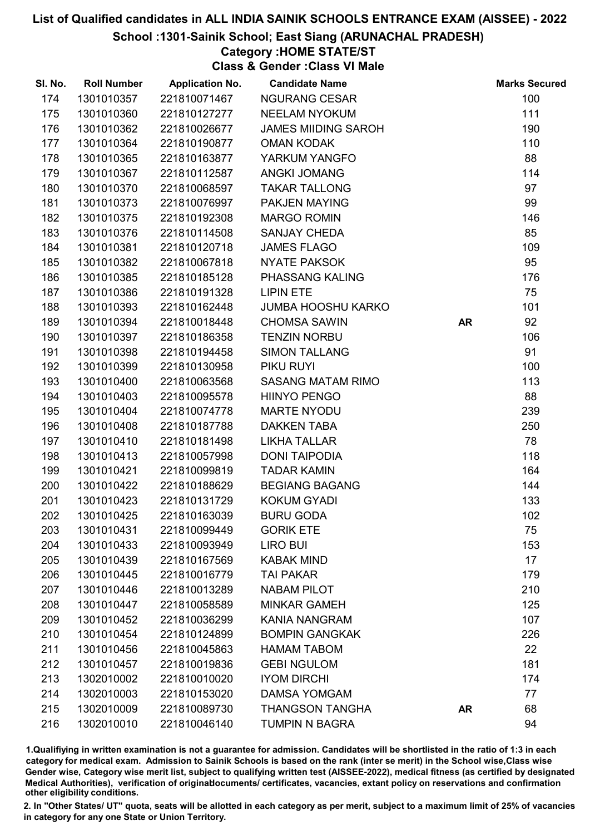## School :1301-Sainik School; East Siang (ARUNACHAL PRADESH)

### Category :HOME STATE/ST

Class & Gender :Class VI Male

| SI. No. | <b>Roll Number</b> | <b>Application No.</b> | <b>Candidate Name</b>      |           | <b>Marks Secured</b> |
|---------|--------------------|------------------------|----------------------------|-----------|----------------------|
| 174     | 1301010357         | 221810071467           | <b>NGURANG CESAR</b>       |           | 100                  |
| 175     | 1301010360         | 221810127277           | <b>NEELAM NYOKUM</b>       |           | 111                  |
| 176     | 1301010362         | 221810026677           | <b>JAMES MIIDING SAROH</b> |           | 190                  |
| 177     | 1301010364         | 221810190877           | <b>OMAN KODAK</b>          |           | 110                  |
| 178     | 1301010365         | 221810163877           | YARKUM YANGFO              |           | 88                   |
| 179     | 1301010367         | 221810112587           | <b>ANGKI JOMANG</b>        |           | 114                  |
| 180     | 1301010370         | 221810068597           | <b>TAKAR TALLONG</b>       |           | 97                   |
| 181     | 1301010373         | 221810076997           | PAKJEN MAYING              |           | 99                   |
| 182     | 1301010375         | 221810192308           | <b>MARGO ROMIN</b>         |           | 146                  |
| 183     | 1301010376         | 221810114508           | <b>SANJAY CHEDA</b>        |           | 85                   |
| 184     | 1301010381         | 221810120718           | <b>JAMES FLAGO</b>         |           | 109                  |
| 185     | 1301010382         | 221810067818           | <b>NYATE PAKSOK</b>        |           | 95                   |
| 186     | 1301010385         | 221810185128           | PHASSANG KALING            |           | 176                  |
| 187     | 1301010386         | 221810191328           | <b>LIPIN ETE</b>           |           | 75                   |
| 188     | 1301010393         | 221810162448           | <b>JUMBA HOOSHU KARKO</b>  |           | 101                  |
| 189     | 1301010394         | 221810018448           | <b>CHOMSA SAWIN</b>        | <b>AR</b> | 92                   |
| 190     | 1301010397         | 221810186358           | <b>TENZIN NORBU</b>        |           | 106                  |
| 191     | 1301010398         | 221810194458           | <b>SIMON TALLANG</b>       |           | 91                   |
| 192     | 1301010399         | 221810130958           | PIKU RUYI                  |           | 100                  |
| 193     | 1301010400         | 221810063568           | <b>SASANG MATAM RIMO</b>   |           | 113                  |
| 194     | 1301010403         | 221810095578           | <b>HIINYO PENGO</b>        |           | 88                   |
| 195     | 1301010404         | 221810074778           | <b>MARTE NYODU</b>         |           | 239                  |
| 196     | 1301010408         | 221810187788           | <b>DAKKEN TABA</b>         |           | 250                  |
| 197     | 1301010410         | 221810181498           | <b>LIKHA TALLAR</b>        |           | 78                   |
| 198     | 1301010413         | 221810057998           | <b>DONI TAIPODIA</b>       |           | 118                  |
| 199     | 1301010421         | 221810099819           | <b>TADAR KAMIN</b>         |           | 164                  |
| 200     | 1301010422         | 221810188629           | <b>BEGIANG BAGANG</b>      |           | 144                  |
| 201     | 1301010423         | 221810131729           | <b>KOKUM GYADI</b>         |           | 133                  |
| 202     | 1301010425         | 221810163039           | <b>BURU GODA</b>           |           | 102                  |
| 203     | 1301010431         | 221810099449           | <b>GORIK ETE</b>           |           | 75                   |
| 204     | 1301010433         | 221810093949           | LIRO BUI                   |           | 153                  |
| 205     | 1301010439         | 221810167569           | <b>KABAK MIND</b>          |           | 17                   |
| 206     | 1301010445         | 221810016779           | <b>TAI PAKAR</b>           |           | 179                  |
| 207     | 1301010446         | 221810013289           | <b>NABAM PILOT</b>         |           | 210                  |
| 208     | 1301010447         | 221810058589           | <b>MINKAR GAMEH</b>        |           | 125                  |
| 209     | 1301010452         | 221810036299           | <b>KANIA NANGRAM</b>       |           | 107                  |
| 210     | 1301010454         | 221810124899           | <b>BOMPIN GANGKAK</b>      |           | 226                  |
| 211     | 1301010456         | 221810045863           | <b>HAMAM TABOM</b>         |           | 22                   |
| 212     | 1301010457         | 221810019836           | <b>GEBI NGULOM</b>         |           | 181                  |
| 213     | 1302010002         | 221810010020           | <b>IYOM DIRCHI</b>         |           | 174                  |
| 214     | 1302010003         | 221810153020           | <b>DAMSA YOMGAM</b>        |           | 77                   |
| 215     | 1302010009         | 221810089730           | <b>THANGSON TANGHA</b>     | <b>AR</b> | 68                   |
| 216     | 1302010010         | 221810046140           | <b>TUMPIN N BAGRA</b>      |           | 94                   |

1.Qualifiying in written examination is not a guarantee for admission. Candidates will be shortlisted in the ratio of 1:3 in each category for medical exam. Admission to Sainik Schools is based on the rank (inter se merit) in the School wise,Class wise Gender wise, Category wise merit list, subject to qualifying written test (AISSEE-2022), medical fitness (as certified by designated Medical Authorities), verification of originablocuments/ certificates, vacancies, extant policy on reservations and confirmation other eligibility conditions.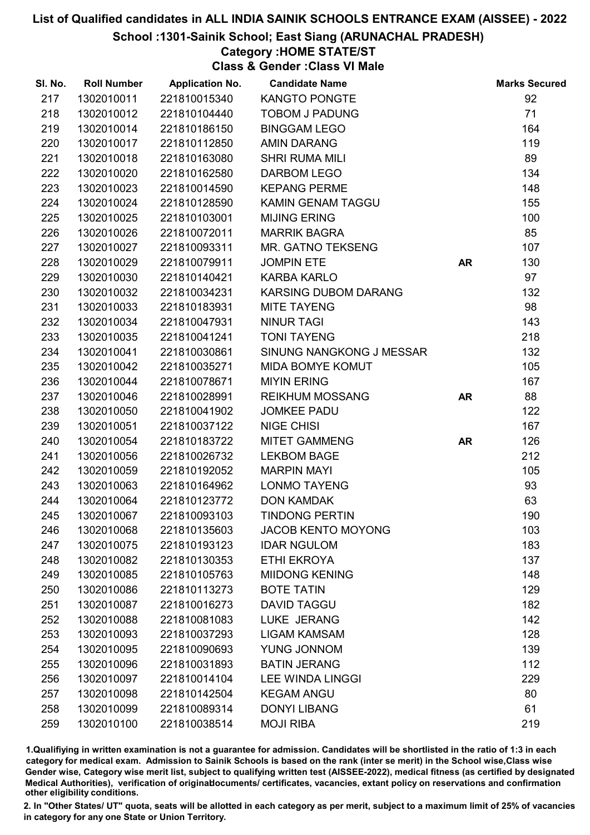School :1301-Sainik School; East Siang (ARUNACHAL PRADESH)

### Category :HOME STATE/ST

Class & Gender :Class VI Male

| SI. No. | <b>Roll Number</b> | <b>Application No.</b> | <b>Candidate Name</b>       |           | <b>Marks Secured</b> |
|---------|--------------------|------------------------|-----------------------------|-----------|----------------------|
| 217     | 1302010011         | 221810015340           | <b>KANGTO PONGTE</b>        |           | 92                   |
| 218     | 1302010012         | 221810104440           | <b>TOBOM J PADUNG</b>       |           | 71                   |
| 219     | 1302010014         | 221810186150           | <b>BINGGAM LEGO</b>         |           | 164                  |
| 220     | 1302010017         | 221810112850           | <b>AMIN DARANG</b>          |           | 119                  |
| 221     | 1302010018         | 221810163080           | <b>SHRI RUMA MILI</b>       |           | 89                   |
| 222     | 1302010020         | 221810162580           | DARBOM LEGO                 |           | 134                  |
| 223     | 1302010023         | 221810014590           | <b>KEPANG PERME</b>         |           | 148                  |
| 224     | 1302010024         | 221810128590           | KAMIN GENAM TAGGU           |           | 155                  |
| 225     | 1302010025         | 221810103001           | <b>MIJING ERING</b>         |           | 100                  |
| 226     | 1302010026         | 221810072011           | <b>MARRIK BAGRA</b>         |           | 85                   |
| 227     | 1302010027         | 221810093311           | MR. GATNO TEKSENG           |           | 107                  |
| 228     | 1302010029         | 221810079911           | <b>JOMPIN ETE</b>           | <b>AR</b> | 130                  |
| 229     | 1302010030         | 221810140421           | <b>KARBA KARLO</b>          |           | 97                   |
| 230     | 1302010032         | 221810034231           | <b>KARSING DUBOM DARANG</b> |           | 132                  |
| 231     | 1302010033         | 221810183931           | <b>MITE TAYENG</b>          |           | 98                   |
| 232     | 1302010034         | 221810047931           | <b>NINUR TAGI</b>           |           | 143                  |
| 233     | 1302010035         | 221810041241           | <b>TONI TAYENG</b>          |           | 218                  |
| 234     | 1302010041         | 221810030861           | SINUNG NANGKONG J MESSAR    |           | 132                  |
| 235     | 1302010042         | 221810035271           | <b>MIDA BOMYE KOMUT</b>     |           | 105                  |
| 236     | 1302010044         | 221810078671           | <b>MIYIN ERING</b>          |           | 167                  |
| 237     | 1302010046         | 221810028991           | <b>REIKHUM MOSSANG</b>      | <b>AR</b> | 88                   |
| 238     | 1302010050         | 221810041902           | <b>JOMKEE PADU</b>          |           | 122                  |
| 239     | 1302010051         | 221810037122           | <b>NIGE CHISI</b>           |           | 167                  |
| 240     | 1302010054         | 221810183722           | <b>MITET GAMMENG</b>        | <b>AR</b> | 126                  |
| 241     | 1302010056         | 221810026732           | <b>LEKBOM BAGE</b>          |           | 212                  |
| 242     | 1302010059         | 221810192052           | <b>MARPIN MAYI</b>          |           | 105                  |
| 243     | 1302010063         | 221810164962           | <b>LONMO TAYENG</b>         |           | 93                   |
| 244     | 1302010064         | 221810123772           | <b>DON KAMDAK</b>           |           | 63                   |
| 245     | 1302010067         | 221810093103           | <b>TINDONG PERTIN</b>       |           | 190                  |
| 246     | 1302010068         | 221810135603           | <b>JACOB KENTO MOYONG</b>   |           | 103                  |
| 247     | 1302010075         | 221810193123           | <b>IDAR NGULOM</b>          |           | 183                  |
| 248     | 1302010082         | 221810130353           | <b>ETHI EKROYA</b>          |           | 137                  |
| 249     | 1302010085         | 221810105763           | <b>MIIDONG KENING</b>       |           | 148                  |
| 250     | 1302010086         | 221810113273           | <b>BOTE TATIN</b>           |           | 129                  |
| 251     | 1302010087         | 221810016273           | <b>DAVID TAGGU</b>          |           | 182                  |
| 252     | 1302010088         | 221810081083           | LUKE JERANG                 |           | 142                  |
| 253     | 1302010093         | 221810037293           | <b>LIGAM KAMSAM</b>         |           | 128                  |
| 254     | 1302010095         | 221810090693           | YUNG JONNOM                 |           | 139                  |
| 255     | 1302010096         | 221810031893           | <b>BATIN JERANG</b>         |           | 112                  |
| 256     | 1302010097         | 221810014104           | <b>LEE WINDA LINGGI</b>     |           | 229                  |
| 257     | 1302010098         | 221810142504           | <b>KEGAM ANGU</b>           |           | 80                   |
| 258     | 1302010099         | 221810089314           | <b>DONYI LIBANG</b>         |           | 61                   |
| 259     | 1302010100         | 221810038514           | <b>MOJI RIBA</b>            |           | 219                  |

1.Qualifiying in written examination is not a guarantee for admission. Candidates will be shortlisted in the ratio of 1:3 in each category for medical exam. Admission to Sainik Schools is based on the rank (inter se merit) in the School wise,Class wise Gender wise, Category wise merit list, subject to qualifying written test (AISSEE-2022), medical fitness (as certified by designated Medical Authorities), verification of originablocuments/ certificates, vacancies, extant policy on reservations and confirmation other eligibility conditions.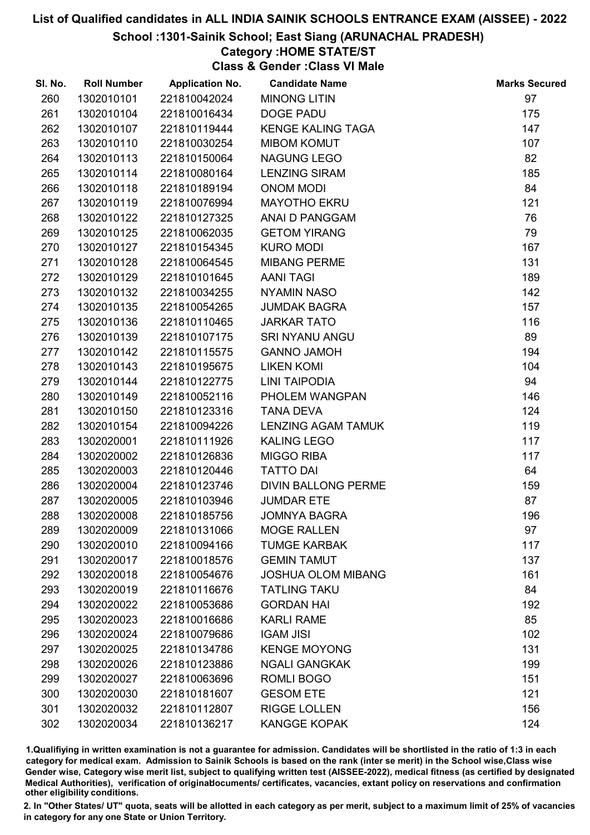School :1301-Sainik School; East Siang (ARUNACHAL PRADESH)

### Category :HOME STATE/ST

Class & Gender :Class VI Male

| 97<br>260<br>1302010101<br><b>MINONG LITIN</b><br>221810042024<br>1302010104<br>221810016434<br><b>DOGE PADU</b><br>261<br>175<br>147<br>262<br>1302010107<br>221810119444<br><b>KENGE KALING TAGA</b><br>263<br>1302010110<br>221810030254<br><b>MIBOM KOMUT</b><br>107<br>82<br>264<br>1302010113<br>221810150064<br>NAGUNG LEGO<br>1302010114<br>221810080164<br><b>LENZING SIRAM</b><br>185<br>265<br>84<br>266<br>1302010118<br>221810189194<br><b>ONOM MODI</b><br>1302010119<br><b>MAYOTHO EKRU</b><br>121<br>267<br>221810076994<br>76<br>268<br>1302010122<br>221810127325<br>ANAI D PANGGAM<br>79<br>1302010125<br>221810062035<br><b>GETOM YIRANG</b><br>269<br>1302010127<br><b>KURO MODI</b><br>167<br>270<br>221810154345<br><b>MIBANG PERME</b><br>131<br>271<br>1302010128<br>221810064545<br>189<br>272<br>1302010129<br>221810101645<br><b>AANI TAGI</b><br>1302010132<br>221810034255<br>142<br>273<br><b>NYAMIN NASO</b><br>157<br>1302010135<br>221810054265<br><b>JUMDAK BAGRA</b><br>274<br>116<br>275<br>1302010136<br>221810110465<br><b>JARKAR TATO</b><br>89<br>1302010139<br><b>SRI NYANU ANGU</b><br>276<br>221810107175<br>1302010142<br>221810115575<br><b>GANNO JAMOH</b><br>194<br>277<br>104<br>278<br>1302010143<br>221810195675<br><b>LIKEN KOMI</b><br>94<br>1302010144<br>221810122775<br><b>LINI TAIPODIA</b><br>279<br>146<br>280<br>1302010149<br>221810052116<br>PHOLEM WANGPAN<br>124<br>1302010150<br>221810123316<br><b>TANA DEVA</b><br>281<br>119<br>282<br>1302010154<br>221810094226<br><b>LENZING AGAM TAMUK</b><br>1302020001<br>221810111926<br><b>KALING LEGO</b><br>117<br>283<br>117<br>284<br>1302020002<br><b>MIGGO RIBA</b><br>221810126836<br>64<br>1302020003<br><b>TATTO DAI</b><br>285<br>221810120446<br>1302020004<br><b>DIVIN BALLONG PERME</b><br>159<br>286<br>221810123746<br>87<br>287<br>1302020005<br>221810103946<br><b>JUMDAR ETE</b><br>196<br>288<br>1302020008<br>221810185756<br><b>JOMNYA BAGRA</b><br>1302020009<br><b>MOGE RALLEN</b><br>97<br>289<br>221810131066<br>117<br>290<br>1302020010<br>221810094166<br><b>TUMGE KARBAK</b><br>137<br>291<br>1302020017<br>221810018576<br><b>GEMIN TAMUT</b><br>292<br>1302020018<br><b>JOSHUA OLOM MIBANG</b><br>161<br>221810054676<br><b>TATLING TAKU</b><br>84<br>293<br>1302020019<br>221810116676<br>192<br>294<br>1302020022<br>221810053686<br><b>GORDAN HAI</b><br><b>KARLI RAME</b><br>85<br>295<br>1302020023<br>221810016686<br>296<br><b>IGAM JISI</b><br>102<br>1302020024<br>221810079686<br><b>KENGE MOYONG</b><br>131<br>297<br>1302020025<br>221810134786<br>199<br>298<br>1302020026<br>221810123886<br><b>NGALI GANGKAK</b><br><b>ROMLI BOGO</b><br>151<br>299<br>1302020027<br>221810063696<br>221810181607<br><b>GESOM ETE</b><br>121<br>300<br>1302020030<br><b>RIGGE LOLLEN</b><br>301<br>1302020032<br>221810112807<br>156<br>124<br>302<br><b>KANGGE KOPAK</b><br>1302020034<br>221810136217 | SI. No. | <b>Roll Number</b> | <b>Application No.</b> | <b>Candidate Name</b> | <b>Marks Secured</b> |
|---------------------------------------------------------------------------------------------------------------------------------------------------------------------------------------------------------------------------------------------------------------------------------------------------------------------------------------------------------------------------------------------------------------------------------------------------------------------------------------------------------------------------------------------------------------------------------------------------------------------------------------------------------------------------------------------------------------------------------------------------------------------------------------------------------------------------------------------------------------------------------------------------------------------------------------------------------------------------------------------------------------------------------------------------------------------------------------------------------------------------------------------------------------------------------------------------------------------------------------------------------------------------------------------------------------------------------------------------------------------------------------------------------------------------------------------------------------------------------------------------------------------------------------------------------------------------------------------------------------------------------------------------------------------------------------------------------------------------------------------------------------------------------------------------------------------------------------------------------------------------------------------------------------------------------------------------------------------------------------------------------------------------------------------------------------------------------------------------------------------------------------------------------------------------------------------------------------------------------------------------------------------------------------------------------------------------------------------------------------------------------------------------------------------------------------------------------------------------------------------------------------------------------------------------------------------------------------------------------------------------------------------------------------------------------------------------------------------------------------------------------------------------------------------------------------------------------------------------------------------------------------------------------------------------------------------------|---------|--------------------|------------------------|-----------------------|----------------------|
|                                                                                                                                                                                                                                                                                                                                                                                                                                                                                                                                                                                                                                                                                                                                                                                                                                                                                                                                                                                                                                                                                                                                                                                                                                                                                                                                                                                                                                                                                                                                                                                                                                                                                                                                                                                                                                                                                                                                                                                                                                                                                                                                                                                                                                                                                                                                                                                                                                                                                                                                                                                                                                                                                                                                                                                                                                                                                                                                                   |         |                    |                        |                       |                      |
|                                                                                                                                                                                                                                                                                                                                                                                                                                                                                                                                                                                                                                                                                                                                                                                                                                                                                                                                                                                                                                                                                                                                                                                                                                                                                                                                                                                                                                                                                                                                                                                                                                                                                                                                                                                                                                                                                                                                                                                                                                                                                                                                                                                                                                                                                                                                                                                                                                                                                                                                                                                                                                                                                                                                                                                                                                                                                                                                                   |         |                    |                        |                       |                      |
|                                                                                                                                                                                                                                                                                                                                                                                                                                                                                                                                                                                                                                                                                                                                                                                                                                                                                                                                                                                                                                                                                                                                                                                                                                                                                                                                                                                                                                                                                                                                                                                                                                                                                                                                                                                                                                                                                                                                                                                                                                                                                                                                                                                                                                                                                                                                                                                                                                                                                                                                                                                                                                                                                                                                                                                                                                                                                                                                                   |         |                    |                        |                       |                      |
|                                                                                                                                                                                                                                                                                                                                                                                                                                                                                                                                                                                                                                                                                                                                                                                                                                                                                                                                                                                                                                                                                                                                                                                                                                                                                                                                                                                                                                                                                                                                                                                                                                                                                                                                                                                                                                                                                                                                                                                                                                                                                                                                                                                                                                                                                                                                                                                                                                                                                                                                                                                                                                                                                                                                                                                                                                                                                                                                                   |         |                    |                        |                       |                      |
|                                                                                                                                                                                                                                                                                                                                                                                                                                                                                                                                                                                                                                                                                                                                                                                                                                                                                                                                                                                                                                                                                                                                                                                                                                                                                                                                                                                                                                                                                                                                                                                                                                                                                                                                                                                                                                                                                                                                                                                                                                                                                                                                                                                                                                                                                                                                                                                                                                                                                                                                                                                                                                                                                                                                                                                                                                                                                                                                                   |         |                    |                        |                       |                      |
|                                                                                                                                                                                                                                                                                                                                                                                                                                                                                                                                                                                                                                                                                                                                                                                                                                                                                                                                                                                                                                                                                                                                                                                                                                                                                                                                                                                                                                                                                                                                                                                                                                                                                                                                                                                                                                                                                                                                                                                                                                                                                                                                                                                                                                                                                                                                                                                                                                                                                                                                                                                                                                                                                                                                                                                                                                                                                                                                                   |         |                    |                        |                       |                      |
|                                                                                                                                                                                                                                                                                                                                                                                                                                                                                                                                                                                                                                                                                                                                                                                                                                                                                                                                                                                                                                                                                                                                                                                                                                                                                                                                                                                                                                                                                                                                                                                                                                                                                                                                                                                                                                                                                                                                                                                                                                                                                                                                                                                                                                                                                                                                                                                                                                                                                                                                                                                                                                                                                                                                                                                                                                                                                                                                                   |         |                    |                        |                       |                      |
|                                                                                                                                                                                                                                                                                                                                                                                                                                                                                                                                                                                                                                                                                                                                                                                                                                                                                                                                                                                                                                                                                                                                                                                                                                                                                                                                                                                                                                                                                                                                                                                                                                                                                                                                                                                                                                                                                                                                                                                                                                                                                                                                                                                                                                                                                                                                                                                                                                                                                                                                                                                                                                                                                                                                                                                                                                                                                                                                                   |         |                    |                        |                       |                      |
|                                                                                                                                                                                                                                                                                                                                                                                                                                                                                                                                                                                                                                                                                                                                                                                                                                                                                                                                                                                                                                                                                                                                                                                                                                                                                                                                                                                                                                                                                                                                                                                                                                                                                                                                                                                                                                                                                                                                                                                                                                                                                                                                                                                                                                                                                                                                                                                                                                                                                                                                                                                                                                                                                                                                                                                                                                                                                                                                                   |         |                    |                        |                       |                      |
|                                                                                                                                                                                                                                                                                                                                                                                                                                                                                                                                                                                                                                                                                                                                                                                                                                                                                                                                                                                                                                                                                                                                                                                                                                                                                                                                                                                                                                                                                                                                                                                                                                                                                                                                                                                                                                                                                                                                                                                                                                                                                                                                                                                                                                                                                                                                                                                                                                                                                                                                                                                                                                                                                                                                                                                                                                                                                                                                                   |         |                    |                        |                       |                      |
|                                                                                                                                                                                                                                                                                                                                                                                                                                                                                                                                                                                                                                                                                                                                                                                                                                                                                                                                                                                                                                                                                                                                                                                                                                                                                                                                                                                                                                                                                                                                                                                                                                                                                                                                                                                                                                                                                                                                                                                                                                                                                                                                                                                                                                                                                                                                                                                                                                                                                                                                                                                                                                                                                                                                                                                                                                                                                                                                                   |         |                    |                        |                       |                      |
|                                                                                                                                                                                                                                                                                                                                                                                                                                                                                                                                                                                                                                                                                                                                                                                                                                                                                                                                                                                                                                                                                                                                                                                                                                                                                                                                                                                                                                                                                                                                                                                                                                                                                                                                                                                                                                                                                                                                                                                                                                                                                                                                                                                                                                                                                                                                                                                                                                                                                                                                                                                                                                                                                                                                                                                                                                                                                                                                                   |         |                    |                        |                       |                      |
|                                                                                                                                                                                                                                                                                                                                                                                                                                                                                                                                                                                                                                                                                                                                                                                                                                                                                                                                                                                                                                                                                                                                                                                                                                                                                                                                                                                                                                                                                                                                                                                                                                                                                                                                                                                                                                                                                                                                                                                                                                                                                                                                                                                                                                                                                                                                                                                                                                                                                                                                                                                                                                                                                                                                                                                                                                                                                                                                                   |         |                    |                        |                       |                      |
|                                                                                                                                                                                                                                                                                                                                                                                                                                                                                                                                                                                                                                                                                                                                                                                                                                                                                                                                                                                                                                                                                                                                                                                                                                                                                                                                                                                                                                                                                                                                                                                                                                                                                                                                                                                                                                                                                                                                                                                                                                                                                                                                                                                                                                                                                                                                                                                                                                                                                                                                                                                                                                                                                                                                                                                                                                                                                                                                                   |         |                    |                        |                       |                      |
|                                                                                                                                                                                                                                                                                                                                                                                                                                                                                                                                                                                                                                                                                                                                                                                                                                                                                                                                                                                                                                                                                                                                                                                                                                                                                                                                                                                                                                                                                                                                                                                                                                                                                                                                                                                                                                                                                                                                                                                                                                                                                                                                                                                                                                                                                                                                                                                                                                                                                                                                                                                                                                                                                                                                                                                                                                                                                                                                                   |         |                    |                        |                       |                      |
|                                                                                                                                                                                                                                                                                                                                                                                                                                                                                                                                                                                                                                                                                                                                                                                                                                                                                                                                                                                                                                                                                                                                                                                                                                                                                                                                                                                                                                                                                                                                                                                                                                                                                                                                                                                                                                                                                                                                                                                                                                                                                                                                                                                                                                                                                                                                                                                                                                                                                                                                                                                                                                                                                                                                                                                                                                                                                                                                                   |         |                    |                        |                       |                      |
|                                                                                                                                                                                                                                                                                                                                                                                                                                                                                                                                                                                                                                                                                                                                                                                                                                                                                                                                                                                                                                                                                                                                                                                                                                                                                                                                                                                                                                                                                                                                                                                                                                                                                                                                                                                                                                                                                                                                                                                                                                                                                                                                                                                                                                                                                                                                                                                                                                                                                                                                                                                                                                                                                                                                                                                                                                                                                                                                                   |         |                    |                        |                       |                      |
|                                                                                                                                                                                                                                                                                                                                                                                                                                                                                                                                                                                                                                                                                                                                                                                                                                                                                                                                                                                                                                                                                                                                                                                                                                                                                                                                                                                                                                                                                                                                                                                                                                                                                                                                                                                                                                                                                                                                                                                                                                                                                                                                                                                                                                                                                                                                                                                                                                                                                                                                                                                                                                                                                                                                                                                                                                                                                                                                                   |         |                    |                        |                       |                      |
|                                                                                                                                                                                                                                                                                                                                                                                                                                                                                                                                                                                                                                                                                                                                                                                                                                                                                                                                                                                                                                                                                                                                                                                                                                                                                                                                                                                                                                                                                                                                                                                                                                                                                                                                                                                                                                                                                                                                                                                                                                                                                                                                                                                                                                                                                                                                                                                                                                                                                                                                                                                                                                                                                                                                                                                                                                                                                                                                                   |         |                    |                        |                       |                      |
|                                                                                                                                                                                                                                                                                                                                                                                                                                                                                                                                                                                                                                                                                                                                                                                                                                                                                                                                                                                                                                                                                                                                                                                                                                                                                                                                                                                                                                                                                                                                                                                                                                                                                                                                                                                                                                                                                                                                                                                                                                                                                                                                                                                                                                                                                                                                                                                                                                                                                                                                                                                                                                                                                                                                                                                                                                                                                                                                                   |         |                    |                        |                       |                      |
|                                                                                                                                                                                                                                                                                                                                                                                                                                                                                                                                                                                                                                                                                                                                                                                                                                                                                                                                                                                                                                                                                                                                                                                                                                                                                                                                                                                                                                                                                                                                                                                                                                                                                                                                                                                                                                                                                                                                                                                                                                                                                                                                                                                                                                                                                                                                                                                                                                                                                                                                                                                                                                                                                                                                                                                                                                                                                                                                                   |         |                    |                        |                       |                      |
|                                                                                                                                                                                                                                                                                                                                                                                                                                                                                                                                                                                                                                                                                                                                                                                                                                                                                                                                                                                                                                                                                                                                                                                                                                                                                                                                                                                                                                                                                                                                                                                                                                                                                                                                                                                                                                                                                                                                                                                                                                                                                                                                                                                                                                                                                                                                                                                                                                                                                                                                                                                                                                                                                                                                                                                                                                                                                                                                                   |         |                    |                        |                       |                      |
|                                                                                                                                                                                                                                                                                                                                                                                                                                                                                                                                                                                                                                                                                                                                                                                                                                                                                                                                                                                                                                                                                                                                                                                                                                                                                                                                                                                                                                                                                                                                                                                                                                                                                                                                                                                                                                                                                                                                                                                                                                                                                                                                                                                                                                                                                                                                                                                                                                                                                                                                                                                                                                                                                                                                                                                                                                                                                                                                                   |         |                    |                        |                       |                      |
|                                                                                                                                                                                                                                                                                                                                                                                                                                                                                                                                                                                                                                                                                                                                                                                                                                                                                                                                                                                                                                                                                                                                                                                                                                                                                                                                                                                                                                                                                                                                                                                                                                                                                                                                                                                                                                                                                                                                                                                                                                                                                                                                                                                                                                                                                                                                                                                                                                                                                                                                                                                                                                                                                                                                                                                                                                                                                                                                                   |         |                    |                        |                       |                      |
|                                                                                                                                                                                                                                                                                                                                                                                                                                                                                                                                                                                                                                                                                                                                                                                                                                                                                                                                                                                                                                                                                                                                                                                                                                                                                                                                                                                                                                                                                                                                                                                                                                                                                                                                                                                                                                                                                                                                                                                                                                                                                                                                                                                                                                                                                                                                                                                                                                                                                                                                                                                                                                                                                                                                                                                                                                                                                                                                                   |         |                    |                        |                       |                      |
|                                                                                                                                                                                                                                                                                                                                                                                                                                                                                                                                                                                                                                                                                                                                                                                                                                                                                                                                                                                                                                                                                                                                                                                                                                                                                                                                                                                                                                                                                                                                                                                                                                                                                                                                                                                                                                                                                                                                                                                                                                                                                                                                                                                                                                                                                                                                                                                                                                                                                                                                                                                                                                                                                                                                                                                                                                                                                                                                                   |         |                    |                        |                       |                      |
|                                                                                                                                                                                                                                                                                                                                                                                                                                                                                                                                                                                                                                                                                                                                                                                                                                                                                                                                                                                                                                                                                                                                                                                                                                                                                                                                                                                                                                                                                                                                                                                                                                                                                                                                                                                                                                                                                                                                                                                                                                                                                                                                                                                                                                                                                                                                                                                                                                                                                                                                                                                                                                                                                                                                                                                                                                                                                                                                                   |         |                    |                        |                       |                      |
|                                                                                                                                                                                                                                                                                                                                                                                                                                                                                                                                                                                                                                                                                                                                                                                                                                                                                                                                                                                                                                                                                                                                                                                                                                                                                                                                                                                                                                                                                                                                                                                                                                                                                                                                                                                                                                                                                                                                                                                                                                                                                                                                                                                                                                                                                                                                                                                                                                                                                                                                                                                                                                                                                                                                                                                                                                                                                                                                                   |         |                    |                        |                       |                      |
|                                                                                                                                                                                                                                                                                                                                                                                                                                                                                                                                                                                                                                                                                                                                                                                                                                                                                                                                                                                                                                                                                                                                                                                                                                                                                                                                                                                                                                                                                                                                                                                                                                                                                                                                                                                                                                                                                                                                                                                                                                                                                                                                                                                                                                                                                                                                                                                                                                                                                                                                                                                                                                                                                                                                                                                                                                                                                                                                                   |         |                    |                        |                       |                      |
|                                                                                                                                                                                                                                                                                                                                                                                                                                                                                                                                                                                                                                                                                                                                                                                                                                                                                                                                                                                                                                                                                                                                                                                                                                                                                                                                                                                                                                                                                                                                                                                                                                                                                                                                                                                                                                                                                                                                                                                                                                                                                                                                                                                                                                                                                                                                                                                                                                                                                                                                                                                                                                                                                                                                                                                                                                                                                                                                                   |         |                    |                        |                       |                      |
|                                                                                                                                                                                                                                                                                                                                                                                                                                                                                                                                                                                                                                                                                                                                                                                                                                                                                                                                                                                                                                                                                                                                                                                                                                                                                                                                                                                                                                                                                                                                                                                                                                                                                                                                                                                                                                                                                                                                                                                                                                                                                                                                                                                                                                                                                                                                                                                                                                                                                                                                                                                                                                                                                                                                                                                                                                                                                                                                                   |         |                    |                        |                       |                      |
|                                                                                                                                                                                                                                                                                                                                                                                                                                                                                                                                                                                                                                                                                                                                                                                                                                                                                                                                                                                                                                                                                                                                                                                                                                                                                                                                                                                                                                                                                                                                                                                                                                                                                                                                                                                                                                                                                                                                                                                                                                                                                                                                                                                                                                                                                                                                                                                                                                                                                                                                                                                                                                                                                                                                                                                                                                                                                                                                                   |         |                    |                        |                       |                      |
|                                                                                                                                                                                                                                                                                                                                                                                                                                                                                                                                                                                                                                                                                                                                                                                                                                                                                                                                                                                                                                                                                                                                                                                                                                                                                                                                                                                                                                                                                                                                                                                                                                                                                                                                                                                                                                                                                                                                                                                                                                                                                                                                                                                                                                                                                                                                                                                                                                                                                                                                                                                                                                                                                                                                                                                                                                                                                                                                                   |         |                    |                        |                       |                      |
|                                                                                                                                                                                                                                                                                                                                                                                                                                                                                                                                                                                                                                                                                                                                                                                                                                                                                                                                                                                                                                                                                                                                                                                                                                                                                                                                                                                                                                                                                                                                                                                                                                                                                                                                                                                                                                                                                                                                                                                                                                                                                                                                                                                                                                                                                                                                                                                                                                                                                                                                                                                                                                                                                                                                                                                                                                                                                                                                                   |         |                    |                        |                       |                      |
|                                                                                                                                                                                                                                                                                                                                                                                                                                                                                                                                                                                                                                                                                                                                                                                                                                                                                                                                                                                                                                                                                                                                                                                                                                                                                                                                                                                                                                                                                                                                                                                                                                                                                                                                                                                                                                                                                                                                                                                                                                                                                                                                                                                                                                                                                                                                                                                                                                                                                                                                                                                                                                                                                                                                                                                                                                                                                                                                                   |         |                    |                        |                       |                      |
|                                                                                                                                                                                                                                                                                                                                                                                                                                                                                                                                                                                                                                                                                                                                                                                                                                                                                                                                                                                                                                                                                                                                                                                                                                                                                                                                                                                                                                                                                                                                                                                                                                                                                                                                                                                                                                                                                                                                                                                                                                                                                                                                                                                                                                                                                                                                                                                                                                                                                                                                                                                                                                                                                                                                                                                                                                                                                                                                                   |         |                    |                        |                       |                      |
|                                                                                                                                                                                                                                                                                                                                                                                                                                                                                                                                                                                                                                                                                                                                                                                                                                                                                                                                                                                                                                                                                                                                                                                                                                                                                                                                                                                                                                                                                                                                                                                                                                                                                                                                                                                                                                                                                                                                                                                                                                                                                                                                                                                                                                                                                                                                                                                                                                                                                                                                                                                                                                                                                                                                                                                                                                                                                                                                                   |         |                    |                        |                       |                      |
|                                                                                                                                                                                                                                                                                                                                                                                                                                                                                                                                                                                                                                                                                                                                                                                                                                                                                                                                                                                                                                                                                                                                                                                                                                                                                                                                                                                                                                                                                                                                                                                                                                                                                                                                                                                                                                                                                                                                                                                                                                                                                                                                                                                                                                                                                                                                                                                                                                                                                                                                                                                                                                                                                                                                                                                                                                                                                                                                                   |         |                    |                        |                       |                      |
|                                                                                                                                                                                                                                                                                                                                                                                                                                                                                                                                                                                                                                                                                                                                                                                                                                                                                                                                                                                                                                                                                                                                                                                                                                                                                                                                                                                                                                                                                                                                                                                                                                                                                                                                                                                                                                                                                                                                                                                                                                                                                                                                                                                                                                                                                                                                                                                                                                                                                                                                                                                                                                                                                                                                                                                                                                                                                                                                                   |         |                    |                        |                       |                      |
|                                                                                                                                                                                                                                                                                                                                                                                                                                                                                                                                                                                                                                                                                                                                                                                                                                                                                                                                                                                                                                                                                                                                                                                                                                                                                                                                                                                                                                                                                                                                                                                                                                                                                                                                                                                                                                                                                                                                                                                                                                                                                                                                                                                                                                                                                                                                                                                                                                                                                                                                                                                                                                                                                                                                                                                                                                                                                                                                                   |         |                    |                        |                       |                      |
|                                                                                                                                                                                                                                                                                                                                                                                                                                                                                                                                                                                                                                                                                                                                                                                                                                                                                                                                                                                                                                                                                                                                                                                                                                                                                                                                                                                                                                                                                                                                                                                                                                                                                                                                                                                                                                                                                                                                                                                                                                                                                                                                                                                                                                                                                                                                                                                                                                                                                                                                                                                                                                                                                                                                                                                                                                                                                                                                                   |         |                    |                        |                       |                      |
|                                                                                                                                                                                                                                                                                                                                                                                                                                                                                                                                                                                                                                                                                                                                                                                                                                                                                                                                                                                                                                                                                                                                                                                                                                                                                                                                                                                                                                                                                                                                                                                                                                                                                                                                                                                                                                                                                                                                                                                                                                                                                                                                                                                                                                                                                                                                                                                                                                                                                                                                                                                                                                                                                                                                                                                                                                                                                                                                                   |         |                    |                        |                       |                      |
|                                                                                                                                                                                                                                                                                                                                                                                                                                                                                                                                                                                                                                                                                                                                                                                                                                                                                                                                                                                                                                                                                                                                                                                                                                                                                                                                                                                                                                                                                                                                                                                                                                                                                                                                                                                                                                                                                                                                                                                                                                                                                                                                                                                                                                                                                                                                                                                                                                                                                                                                                                                                                                                                                                                                                                                                                                                                                                                                                   |         |                    |                        |                       |                      |

1.Qualifiying in written examination is not a guarantee for admission. Candidates will be shortlisted in the ratio of 1:3 in each category for medical exam. Admission to Sainik Schools is based on the rank (inter se merit) in the School wise,Class wise Gender wise, Category wise merit list, subject to qualifying written test (AISSEE-2022), medical fitness (as certified by designated Medical Authorities), verification of originablocuments/ certificates, vacancies, extant policy on reservations and confirmation other eligibility conditions.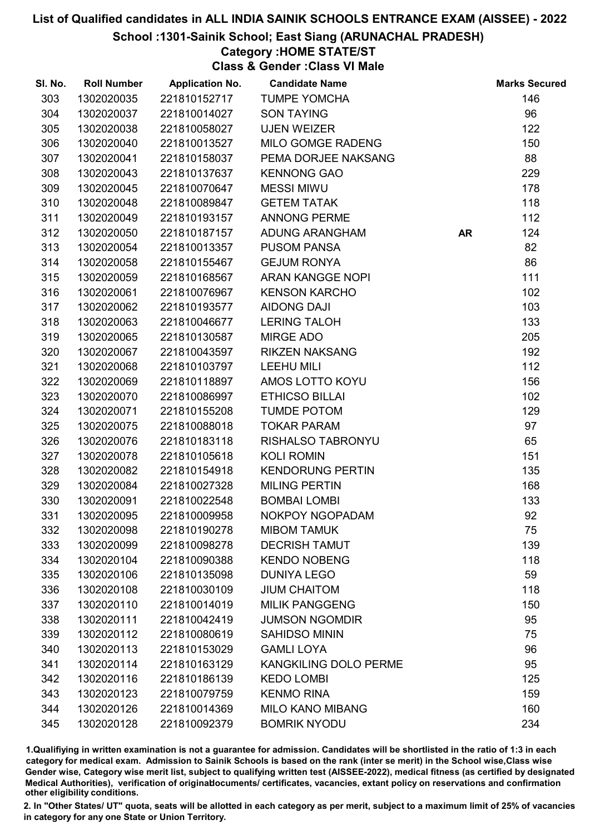School :1301-Sainik School; East Siang (ARUNACHAL PRADESH)

### Category :HOME STATE/ST

Class & Gender :Class VI Male

| SI. No. | <b>Roll Number</b> | <b>Application No.</b> | <b>Candidate Name</b>   |           | <b>Marks Secured</b> |
|---------|--------------------|------------------------|-------------------------|-----------|----------------------|
| 303     | 1302020035         | 221810152717           | <b>TUMPE YOMCHA</b>     |           | 146                  |
| 304     | 1302020037         | 221810014027           | <b>SON TAYING</b>       |           | 96                   |
| 305     | 1302020038         | 221810058027           | <b>UJEN WEIZER</b>      |           | 122                  |
| 306     | 1302020040         | 221810013527           | MILO GOMGE RADENG       |           | 150                  |
| 307     | 1302020041         | 221810158037           | PEMA DORJEE NAKSANG     |           | 88                   |
| 308     | 1302020043         | 221810137637           | <b>KENNONG GAO</b>      |           | 229                  |
| 309     | 1302020045         | 221810070647           | <b>MESSI MIWU</b>       |           | 178                  |
| 310     | 1302020048         | 221810089847           | <b>GETEM TATAK</b>      |           | 118                  |
| 311     | 1302020049         | 221810193157           | ANNONG PERME            |           | 112                  |
| 312     | 1302020050         | 221810187157           | ADUNG ARANGHAM          | <b>AR</b> | 124                  |
| 313     | 1302020054         | 221810013357           | <b>PUSOM PANSA</b>      |           | 82                   |
| 314     | 1302020058         | 221810155467           | <b>GEJUM RONYA</b>      |           | 86                   |
| 315     | 1302020059         | 221810168567           | <b>ARAN KANGGE NOPI</b> |           | 111                  |
| 316     | 1302020061         | 221810076967           | <b>KENSON KARCHO</b>    |           | 102                  |
| 317     | 1302020062         | 221810193577           | <b>AIDONG DAJI</b>      |           | 103                  |
| 318     | 1302020063         | 221810046677           | <b>LERING TALOH</b>     |           | 133                  |
| 319     | 1302020065         | 221810130587           | <b>MIRGE ADO</b>        |           | 205                  |
| 320     | 1302020067         | 221810043597           | <b>RIKZEN NAKSANG</b>   |           | 192                  |
| 321     | 1302020068         | 221810103797           | <b>LEEHU MILI</b>       |           | 112                  |
| 322     | 1302020069         | 221810118897           | AMOS LOTTO KOYU         |           | 156                  |
| 323     | 1302020070         | 221810086997           | <b>ETHICSO BILLAI</b>   |           | 102                  |
| 324     | 1302020071         | 221810155208           | <b>TUMDE POTOM</b>      |           | 129                  |
| 325     | 1302020075         | 221810088018           | <b>TOKAR PARAM</b>      |           | 97                   |
| 326     | 1302020076         | 221810183118           | RISHALSO TABRONYU       |           | 65                   |
| 327     | 1302020078         | 221810105618           | <b>KOLI ROMIN</b>       |           | 151                  |
| 328     | 1302020082         | 221810154918           | <b>KENDORUNG PERTIN</b> |           | 135                  |
| 329     | 1302020084         | 221810027328           | <b>MILING PERTIN</b>    |           | 168                  |
| 330     | 1302020091         | 221810022548           | <b>BOMBAI LOMBI</b>     |           | 133                  |
| 331     | 1302020095         | 221810009958           | <b>NOKPOY NGOPADAM</b>  |           | 92                   |
| 332     | 1302020098         | 221810190278           | <b>MIBOM TAMUK</b>      |           | 75                   |
| 333     | 1302020099         | 221810098278           | <b>DECRISH TAMUT</b>    |           | 139                  |
| 334     | 1302020104         | 221810090388           | <b>KENDO NOBENG</b>     |           | 118                  |
| 335     | 1302020106         | 221810135098           | <b>DUNIYA LEGO</b>      |           | 59                   |
| 336     | 1302020108         | 221810030109           | <b>JIUM CHAITOM</b>     |           | 118                  |
| 337     | 1302020110         | 221810014019           | <b>MILIK PANGGENG</b>   |           | 150                  |
| 338     | 1302020111         | 221810042419           | <b>JUMSON NGOMDIR</b>   |           | 95                   |
| 339     | 1302020112         | 221810080619           | <b>SAHIDSO MININ</b>    |           | 75                   |
| 340     | 1302020113         | 221810153029           | <b>GAMLI LOYA</b>       |           | 96                   |
| 341     | 1302020114         | 221810163129           | KANGKILING DOLO PERME   |           | 95                   |
| 342     | 1302020116         | 221810186139           | <b>KEDO LOMBI</b>       |           | 125                  |
| 343     | 1302020123         | 221810079759           | <b>KENMO RINA</b>       |           | 159                  |
| 344     | 1302020126         | 221810014369           | <b>MILO KANO MIBANG</b> |           | 160                  |
| 345     | 1302020128         | 221810092379           | <b>BOMRIK NYODU</b>     |           | 234                  |

1.Qualifiying in written examination is not a guarantee for admission. Candidates will be shortlisted in the ratio of 1:3 in each category for medical exam. Admission to Sainik Schools is based on the rank (inter se merit) in the School wise,Class wise Gender wise, Category wise merit list, subject to qualifying written test (AISSEE-2022), medical fitness (as certified by designated Medical Authorities), verification of originablocuments/ certificates, vacancies, extant policy on reservations and confirmation other eligibility conditions.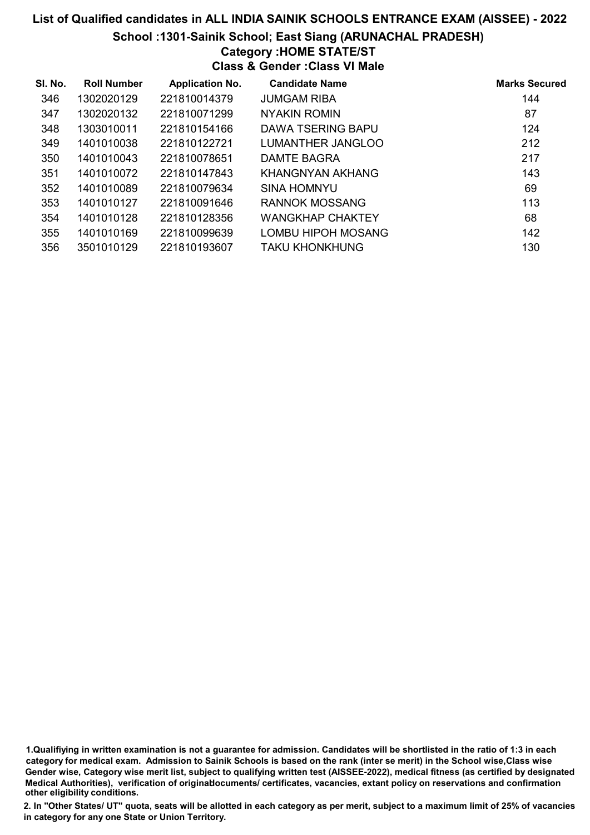### List of Qualified candidates in ALL INDIA SAINIK SCHOOLS ENTRANCE EXAM (AISSEE) - 2022 School :1301-Sainik School; East Siang (ARUNACHAL PRADESH) Category :HOME STATE/ST Class & Gender :Class VI Male

| SI. No. | <b>Roll Number</b> | <b>Application No.</b> | <b>Candidate Name</b>   | <b>Marks Secured</b> |
|---------|--------------------|------------------------|-------------------------|----------------------|
| 346     | 1302020129         | 221810014379           | <b>JUMGAM RIBA</b>      | 144                  |
| 347     | 1302020132         | 221810071299           | NYAKIN ROMIN            | 87                   |
| 348     | 1303010011         | 221810154166           | DAWA TSERING BAPU       | 124                  |
| 349     | 1401010038         | 221810122721           | LUMANTHER JANGLOO       | 212                  |
| 350     | 1401010043         | 221810078651           | DAMTE BAGRA             | 217                  |
| 351     | 1401010072         | 221810147843           | KHANGNYAN AKHANG        | 143                  |
| 352     | 1401010089         | 221810079634           | <b>SINA HOMNYU</b>      | 69                   |
| 353     | 1401010127         | 221810091646           | <b>RANNOK MOSSANG</b>   | 113                  |
| 354     | 1401010128         | 221810128356           | <b>WANGKHAP CHAKTEY</b> | 68                   |
| 355     | 1401010169         | 221810099639           | LOMBU HIPOH MOSANG      | 142                  |
| 356     | 3501010129         | 221810193607           | <b>TAKU KHONKHUNG</b>   | 130                  |

<sup>1.</sup>Qualifiying in written examination is not a guarantee for admission. Candidates will be shortlisted in the ratio of 1:3 in each category for medical exam. Admission to Sainik Schools is based on the rank (inter se merit) in the School wise,Class wise Gender wise, Category wise merit list, subject to qualifying written test (AISSEE-2022), medical fitness (as certified by designated Medical Authorities), verification of originablocuments/ certificates, vacancies, extant policy on reservations and confirmation other eligibility conditions.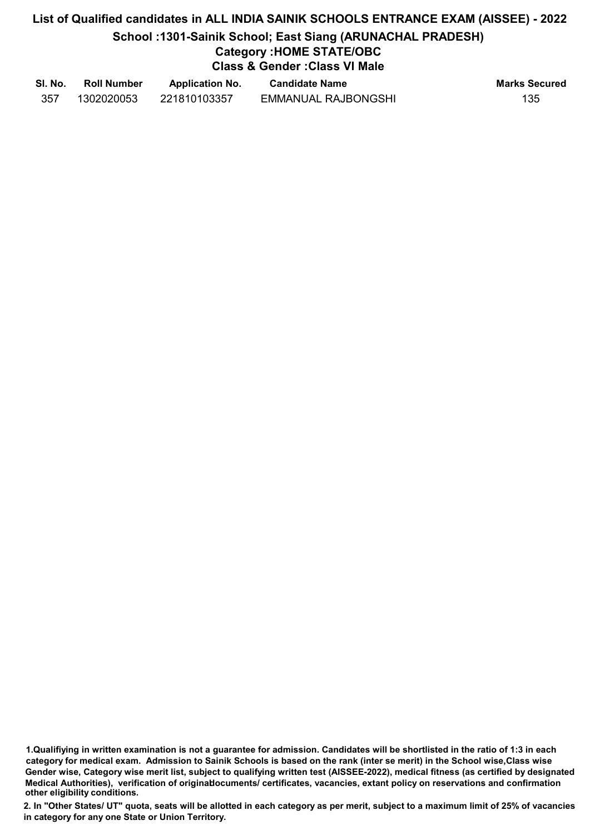# List of Qualified candidates in ALL INDIA SAINIK SCHOOLS ENTRANCE EXAM (AISSEE) - 2022 School :1301-Sainik School; East Siang (ARUNACHAL PRADESH) Category :HOME STATE/OBC Class & Gender :Class VI Male

| SI. No. | <b>Roll Number</b> | <b>Application No.</b> | <b>Candidate Name</b>      | <b>Marks Secured</b> |
|---------|--------------------|------------------------|----------------------------|----------------------|
| 357     | 1302020053         | 221810103357           | <b>EMMANUAL RAJBONGSHI</b> | 135                  |

<sup>1.</sup>Qualifiying in written examination is not a guarantee for admission. Candidates will be shortlisted in the ratio of 1:3 in each category for medical exam. Admission to Sainik Schools is based on the rank (inter se merit) in the School wise,Class wise Gender wise, Category wise merit list, subject to qualifying written test (AISSEE-2022), medical fitness (as certified by designated Medical Authorities), verification of originablocuments/ certificates, vacancies, extant policy on reservations and confirmation other eligibility conditions.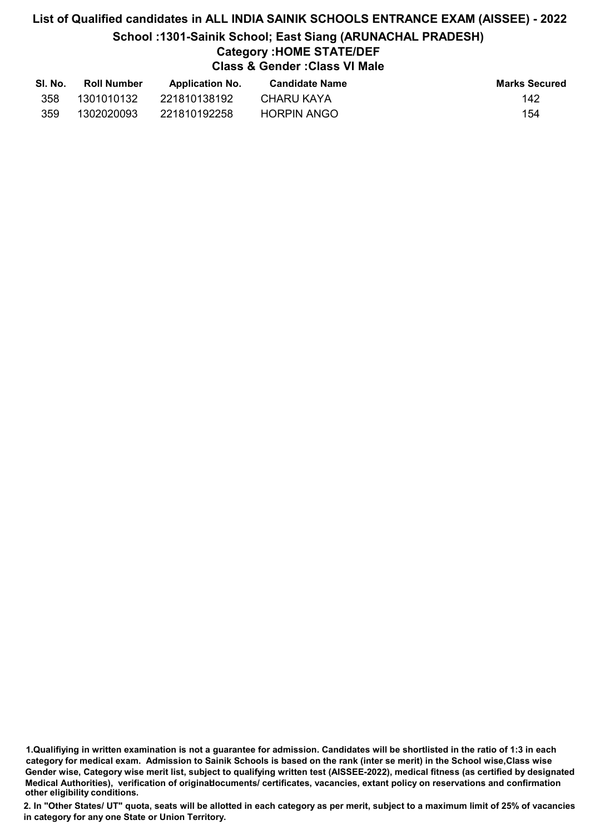## List of Qualified candidates in ALL INDIA SAINIK SCHOOLS ENTRANCE EXAM (AISSEE) - 2022 School :1301-Sainik School; East Siang (ARUNACHAL PRADESH) Category :HOME STATE/DEF Class & Gender :Class VI Male

| SI. No. | <b>Roll Number</b> | <b>Application No.</b> | <b>Candidate Name</b> | Marks Secured |
|---------|--------------------|------------------------|-----------------------|---------------|
| 358     | 1301010132         | 221810138192           | CHARU KAYA            | 142           |
| 359     | 1302020093         | 221810192258           | <b>HORPIN ANGO</b>    | 154           |

<sup>1.</sup>Qualifiying in written examination is not a guarantee for admission. Candidates will be shortlisted in the ratio of 1:3 in each category for medical exam. Admission to Sainik Schools is based on the rank (inter se merit) in the School wise,Class wise Gender wise, Category wise merit list, subject to qualifying written test (AISSEE-2022), medical fitness (as certified by designated Medical Authorities), verification of originablocuments/ certificates, vacancies, extant policy on reservations and confirmation other eligibility conditions.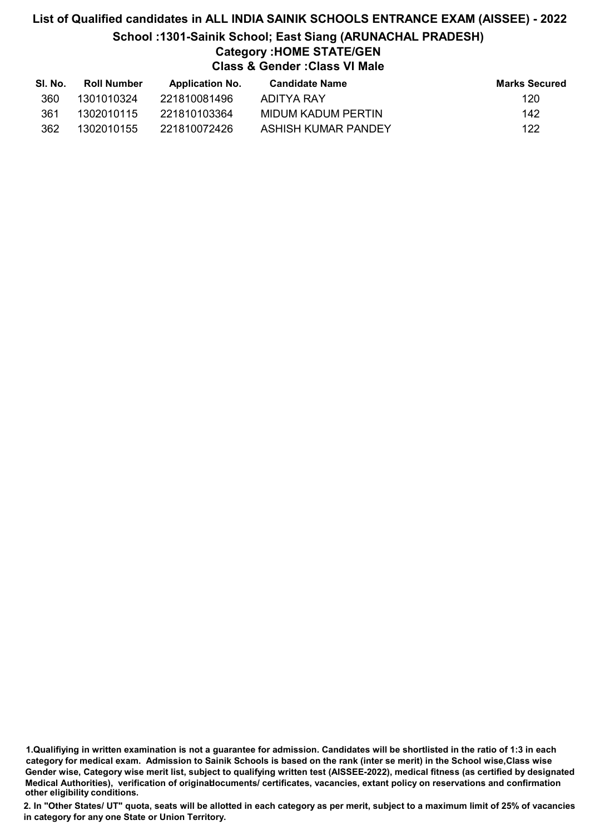## List of Qualified candidates in ALL INDIA SAINIK SCHOOLS ENTRANCE EXAM (AISSEE) - 2022 School :1301-Sainik School; East Siang (ARUNACHAL PRADESH) Category :HOME STATE/GEN Class & Gender :Class VI Male

| SI. No. | <b>Roll Number</b> | <b>Application No.</b> | Candidate Name      | <b>Marks Secured</b> |
|---------|--------------------|------------------------|---------------------|----------------------|
| 360     | 1301010324         | 221810081496           | ADITYA RAY          | 120                  |
| 361     | 1302010115         | 221810103364           | MIDUM KADUM PERTIN  | 142                  |
| 362     | 1302010155         | 221810072426           | ASHISH KUMAR PANDEY | 122                  |

1.Qualifiying in written examination is not a guarantee for admission. Candidates will be shortlisted in the ratio of 1:3 in each category for medical exam. Admission to Sainik Schools is based on the rank (inter se merit) in the School wise,Class wise Gender wise, Category wise merit list, subject to qualifying written test (AISSEE-2022), medical fitness (as certified by designated Medical Authorities), verification of originablocuments/ certificates, vacancies, extant policy on reservations and confirmation other eligibility conditions.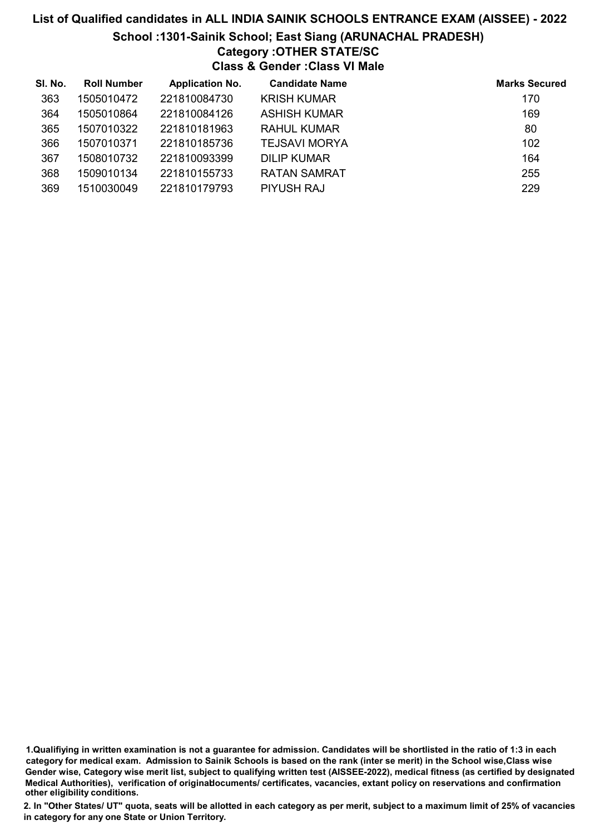# List of Qualified candidates in ALL INDIA SAINIK SCHOOLS ENTRANCE EXAM (AISSEE) - 2022 School :1301-Sainik School; East Siang (ARUNACHAL PRADESH) Category :OTHER STATE/SC Class & Gender :Class VI Male

| SI. No. | <b>Roll Number</b> | <b>Application No.</b> | <b>Candidate Name</b> | <b>Marks Secured</b> |
|---------|--------------------|------------------------|-----------------------|----------------------|
| 363     | 1505010472         | 221810084730           | <b>KRISH KUMAR</b>    | 170                  |
| 364     | 1505010864         | 221810084126           | <b>ASHISH KUMAR</b>   | 169                  |
| 365     | 1507010322         | 221810181963           | RAHUL KUMAR           | 80                   |
| 366     | 1507010371         | 221810185736           | <b>TEJSAVI MORYA</b>  | 102                  |
| 367     | 1508010732         | 221810093399           | <b>DILIP KUMAR</b>    | 164                  |
| 368     | 1509010134         | 221810155733           | <b>RATAN SAMRAT</b>   | 255                  |
| 369     | 1510030049         | 221810179793           | <b>PIYUSH RAJ</b>     | 229                  |

<sup>1.</sup>Qualifiying in written examination is not a guarantee for admission. Candidates will be shortlisted in the ratio of 1:3 in each category for medical exam. Admission to Sainik Schools is based on the rank (inter se merit) in the School wise,Class wise Gender wise, Category wise merit list, subject to qualifying written test (AISSEE-2022), medical fitness (as certified by designated Medical Authorities), verification of originablocuments/ certificates, vacancies, extant policy on reservations and confirmation other eligibility conditions.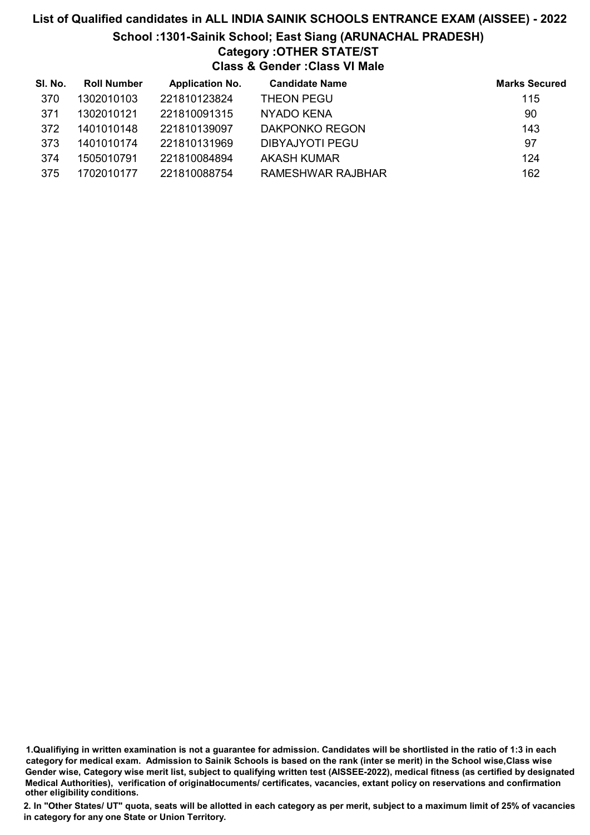# List of Qualified candidates in ALL INDIA SAINIK SCHOOLS ENTRANCE EXAM (AISSEE) - 2022 School :1301-Sainik School; East Siang (ARUNACHAL PRADESH) Category :OTHER STATE/ST Class & Gender :Class VI Male

| SI. No. | <b>Roll Number</b> | <b>Application No.</b> | <b>Candidate Name</b> | <b>Marks Secured</b> |
|---------|--------------------|------------------------|-----------------------|----------------------|
| 370     | 1302010103         | 221810123824           | <b>THEON PEGU</b>     | 115                  |
| 371     | 1302010121         | 221810091315           | NYADO KENA            | 90                   |
| 372     | 1401010148         | 221810139097           | <b>DAKPONKO REGON</b> | 143                  |
| 373     | 1401010174         | 221810131969           | DIBYAJYOTI PEGU       | 97                   |
| 374     | 1505010791         | 221810084894           | AKASH KUMAR           | 124                  |
| 375     | 1702010177         | 221810088754           | RAMESHWAR RAJBHAR     | 162                  |

1.Qualifiying in written examination is not a guarantee for admission. Candidates will be shortlisted in the ratio of 1:3 in each category for medical exam. Admission to Sainik Schools is based on the rank (inter se merit) in the School wise,Class wise Gender wise, Category wise merit list, subject to qualifying written test (AISSEE-2022), medical fitness (as certified by designated Medical Authorities), verification of originablocuments/ certificates, vacancies, extant policy on reservations and confirmation other eligibility conditions.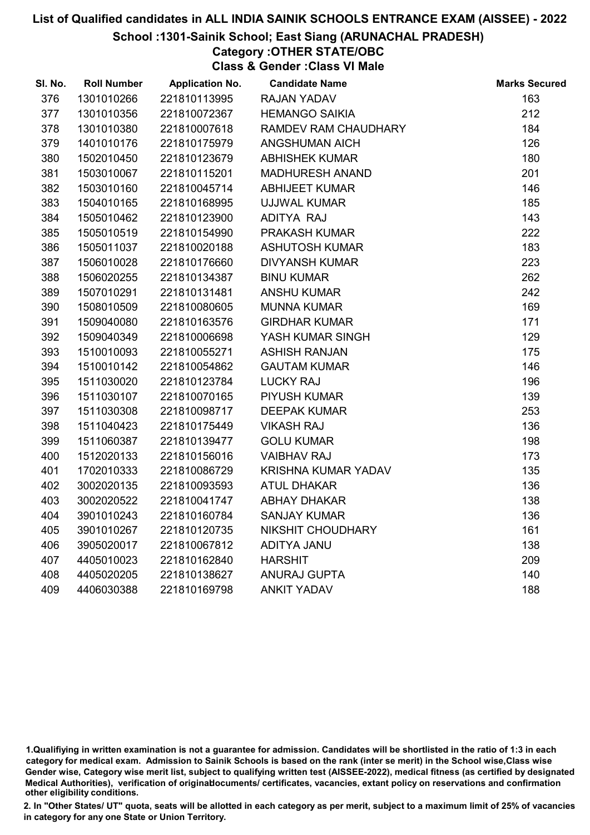#### School :1301-Sainik School; East Siang (ARUNACHAL PRADESH)

#### Category :OTHER STATE/OBC Class & Gender :Class VI Male

| SI. No. | <b>Roll Number</b> | <b>Application No.</b> | <b>Candidate Name</b>    | <b>Marks Secured</b> |
|---------|--------------------|------------------------|--------------------------|----------------------|
| 376     | 1301010266         | 221810113995           | <b>RAJAN YADAV</b>       | 163                  |
| 377     | 1301010356         | 221810072367           | <b>HEMANGO SAIKIA</b>    | 212                  |
| 378     | 1301010380         | 221810007618           | RAMDEV RAM CHAUDHARY     | 184                  |
| 379     | 1401010176         | 221810175979           | <b>ANGSHUMAN AICH</b>    | 126                  |
| 380     | 1502010450         | 221810123679           | <b>ABHISHEK KUMAR</b>    | 180                  |
| 381     | 1503010067         | 221810115201           | <b>MADHURESH ANAND</b>   | 201                  |
| 382     | 1503010160         | 221810045714           | <b>ABHIJEET KUMAR</b>    | 146                  |
| 383     | 1504010165         | 221810168995           | UJJWAL KUMAR             | 185                  |
| 384     | 1505010462         | 221810123900           | ADITYA RAJ               | 143                  |
| 385     | 1505010519         | 221810154990           | PRAKASH KUMAR            | 222                  |
| 386     | 1505011037         | 221810020188           | <b>ASHUTOSH KUMAR</b>    | 183                  |
| 387     | 1506010028         | 221810176660           | <b>DIVYANSH KUMAR</b>    | 223                  |
| 388     | 1506020255         | 221810134387           | <b>BINU KUMAR</b>        | 262                  |
| 389     | 1507010291         | 221810131481           | <b>ANSHU KUMAR</b>       | 242                  |
| 390     | 1508010509         | 221810080605           | <b>MUNNA KUMAR</b>       | 169                  |
| 391     | 1509040080         | 221810163576           | <b>GIRDHAR KUMAR</b>     | 171                  |
| 392     | 1509040349         | 221810006698           | YASH KUMAR SINGH         | 129                  |
| 393     | 1510010093         | 221810055271           | <b>ASHISH RANJAN</b>     | 175                  |
| 394     | 1510010142         | 221810054862           | <b>GAUTAM KUMAR</b>      | 146                  |
| 395     | 1511030020         | 221810123784           | <b>LUCKY RAJ</b>         | 196                  |
| 396     | 1511030107         | 221810070165           | PIYUSH KUMAR             | 139                  |
| 397     | 1511030308         | 221810098717           | <b>DEEPAK KUMAR</b>      | 253                  |
| 398     | 1511040423         | 221810175449           | <b>VIKASH RAJ</b>        | 136                  |
| 399     | 1511060387         | 221810139477           | <b>GOLU KUMAR</b>        | 198                  |
| 400     | 1512020133         | 221810156016           | <b>VAIBHAV RAJ</b>       | 173                  |
| 401     | 1702010333         | 221810086729           | KRISHNA KUMAR YADAV      | 135                  |
| 402     | 3002020135         | 221810093593           | <b>ATUL DHAKAR</b>       | 136                  |
| 403     | 3002020522         | 221810041747           | <b>ABHAY DHAKAR</b>      | 138                  |
| 404     | 3901010243         | 221810160784           | <b>SANJAY KUMAR</b>      | 136                  |
| 405     | 3901010267         | 221810120735           | <b>NIKSHIT CHOUDHARY</b> | 161                  |
| 406     | 3905020017         | 221810067812           | <b>ADITYA JANU</b>       | 138                  |
| 407     | 4405010023         | 221810162840           | <b>HARSHIT</b>           | 209                  |
| 408     | 4405020205         | 221810138627           | <b>ANURAJ GUPTA</b>      | 140                  |
| 409     | 4406030388         | 221810169798           | <b>ANKIT YADAV</b>       | 188                  |

<sup>1.</sup>Qualifiying in written examination is not a guarantee for admission. Candidates will be shortlisted in the ratio of 1:3 in each category for medical exam. Admission to Sainik Schools is based on the rank (inter se merit) in the School wise,Class wise Gender wise, Category wise merit list, subject to qualifying written test (AISSEE-2022), medical fitness (as certified by designated Medical Authorities), verification of originablocuments/ certificates, vacancies, extant policy on reservations and confirmation other eligibility conditions.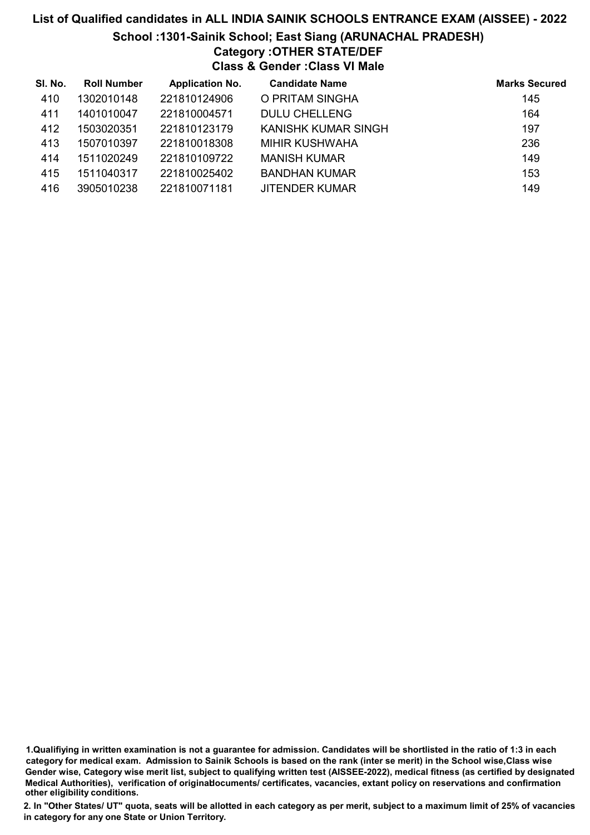### List of Qualified candidates in ALL INDIA SAINIK SCHOOLS ENTRANCE EXAM (AISSEE) - 2022 School :1301-Sainik School; East Siang (ARUNACHAL PRADESH) Category :OTHER STATE/DEF Class & Gender :Class VI Male

| SI. No. | <b>Roll Number</b> | <b>Application No.</b> | <b>Candidate Name</b> | <b>Marks Secured</b> |
|---------|--------------------|------------------------|-----------------------|----------------------|
| 410     | 1302010148         | 221810124906           | O PRITAM SINGHA       | 145                  |
| 411     | 1401010047         | 221810004571           | <b>DULU CHELLENG</b>  | 164                  |
| 412     | 1503020351         | 221810123179           | KANISHK KUMAR SINGH   | 197                  |
| 413     | 1507010397         | 221810018308           | MIHIR KUSHWAHA        | 236                  |
| 414     | 1511020249         | 221810109722           | <b>MANISH KUMAR</b>   | 149                  |
| 415     | 1511040317         | 221810025402           | <b>BANDHAN KUMAR</b>  | 153                  |
| 416     | 3905010238         | 221810071181           | <b>JITENDER KUMAR</b> | 149                  |

<sup>1.</sup>Qualifiying in written examination is not a guarantee for admission. Candidates will be shortlisted in the ratio of 1:3 in each category for medical exam. Admission to Sainik Schools is based on the rank (inter se merit) in the School wise,Class wise Gender wise, Category wise merit list, subject to qualifying written test (AISSEE-2022), medical fitness (as certified by designated Medical Authorities), verification of originablocuments/ certificates, vacancies, extant policy on reservations and confirmation other eligibility conditions.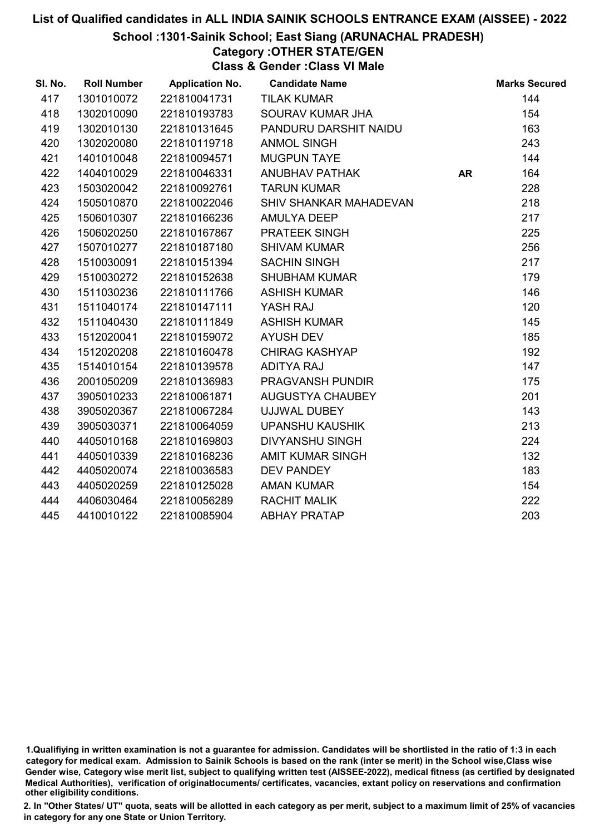#### School :1301-Sainik School; East Siang (ARUNACHAL PRADESH)

#### Category :OTHER STATE/GEN Class & Gender :Class VI Male

| SI. No. | <b>Roll Number</b> | <b>Application No.</b> | <b>Candidate Name</b>   |           | <b>Marks Secured</b> |
|---------|--------------------|------------------------|-------------------------|-----------|----------------------|
| 417     | 1301010072         | 221810041731           | <b>TILAK KUMAR</b>      |           | 144                  |
| 418     | 1302010090         | 221810193783           | SOURAV KUMAR JHA        |           | 154                  |
| 419     | 1302010130         | 221810131645           | PANDURU DARSHIT NAIDU   |           | 163                  |
| 420     | 1302020080         | 221810119718           | <b>ANMOL SINGH</b>      |           | 243                  |
| 421     | 1401010048         | 221810094571           | <b>MUGPUN TAYE</b>      |           | 144                  |
| 422     | 1404010029         | 221810046331           | <b>ANUBHAV PATHAK</b>   | <b>AR</b> | 164                  |
| 423     | 1503020042         | 221810092761           | <b>TARUN KUMAR</b>      |           | 228                  |
| 424     | 1505010870         | 221810022046           | SHIV SHANKAR MAHADEVAN  |           | 218                  |
| 425     | 1506010307         | 221810166236           | <b>AMULYA DEEP</b>      |           | 217                  |
| 426     | 1506020250         | 221810167867           | PRATEEK SINGH           |           | 225                  |
| 427     | 1507010277         | 221810187180           | <b>SHIVAM KUMAR</b>     |           | 256                  |
| 428     | 1510030091         | 221810151394           | <b>SACHIN SINGH</b>     |           | 217                  |
| 429     | 1510030272         | 221810152638           | <b>SHUBHAM KUMAR</b>    |           | 179                  |
| 430     | 1511030236         | 221810111766           | <b>ASHISH KUMAR</b>     |           | 146                  |
| 431     | 1511040174         | 221810147111           | YASH RAJ                |           | 120                  |
| 432     | 1511040430         | 221810111849           | <b>ASHISH KUMAR</b>     |           | 145                  |
| 433     | 1512020041         | 221810159072           | <b>AYUSH DEV</b>        |           | 185                  |
| 434     | 1512020208         | 221810160478           | <b>CHIRAG KASHYAP</b>   |           | 192                  |
| 435     | 1514010154         | 221810139578           | <b>ADITYA RAJ</b>       |           | 147                  |
| 436     | 2001050209         | 221810136983           | <b>PRAGVANSH PUNDIR</b> |           | 175                  |
| 437     | 3905010233         | 221810061871           | <b>AUGUSTYA CHAUBEY</b> |           | 201                  |
| 438     | 3905020367         | 221810067284           | <b>UJJWAL DUBEY</b>     |           | 143                  |
| 439     | 3905030371         | 221810064059           | <b>UPANSHU KAUSHIK</b>  |           | 213                  |
| 440     | 4405010168         | 221810169803           | <b>DIVYANSHU SINGH</b>  |           | 224                  |
| 441     | 4405010339         | 221810168236           | <b>AMIT KUMAR SINGH</b> |           | 132                  |
| 442     | 4405020074         | 221810036583           | <b>DEV PANDEY</b>       |           | 183                  |
| 443     | 4405020259         | 221810125028           | <b>AMAN KUMAR</b>       |           | 154                  |
| 444     | 4406030464         | 221810056289           | <b>RACHIT MALIK</b>     |           | 222                  |
| 445     | 4410010122         | 221810085904           | <b>ABHAY PRATAP</b>     |           | 203                  |

<sup>1.</sup>Qualifiying in written examination is not a guarantee for admission. Candidates will be shortlisted in the ratio of 1:3 in each category for medical exam. Admission to Sainik Schools is based on the rank (inter se merit) in the School wise,Class wise Gender wise, Category wise merit list, subject to qualifying written test (AISSEE-2022), medical fitness (as certified by designated Medical Authorities), verification of originablocuments/ certificates, vacancies, extant policy on reservations and confirmation other eligibility conditions.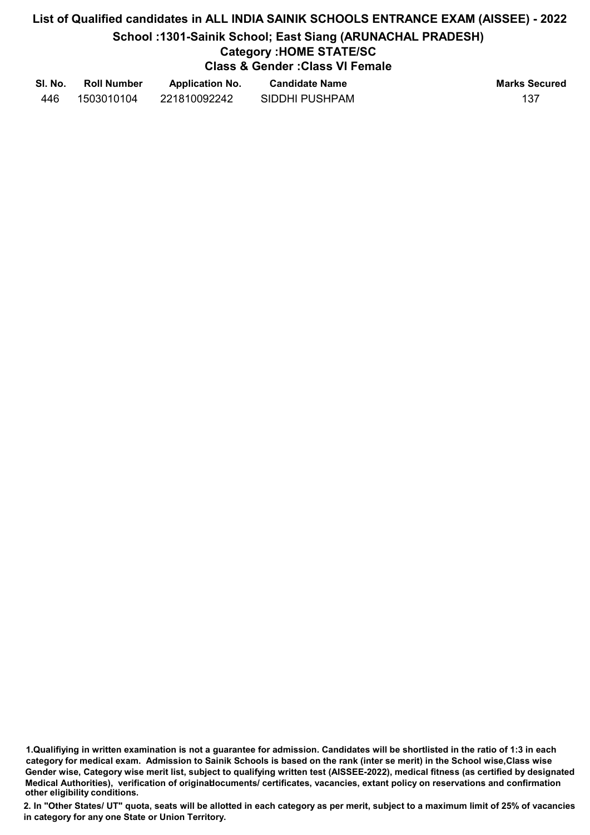# List of Qualified candidates in ALL INDIA SAINIK SCHOOLS ENTRANCE EXAM (AISSEE) - 2022 School :1301-Sainik School; East Siang (ARUNACHAL PRADESH) Category :HOME STATE/SC Class & Gender :Class VI Female

| SI. No. | <b>Roll Number</b> | <b>Application No.</b> | <b>Candidate Name</b> | <b>Marks Secured</b> |
|---------|--------------------|------------------------|-----------------------|----------------------|
| 446     | 1503010104         | 221810092242           | SIDDHI PUSHPAM        | 137                  |

1.Qualifiying in written examination is not a guarantee for admission. Candidates will be shortlisted in the ratio of 1:3 in each category for medical exam. Admission to Sainik Schools is based on the rank (inter se merit) in the School wise,Class wise Gender wise, Category wise merit list, subject to qualifying written test (AISSEE-2022), medical fitness (as certified by designated Medical Authorities), verification of originablocuments/ certificates, vacancies, extant policy on reservations and confirmation other eligibility conditions.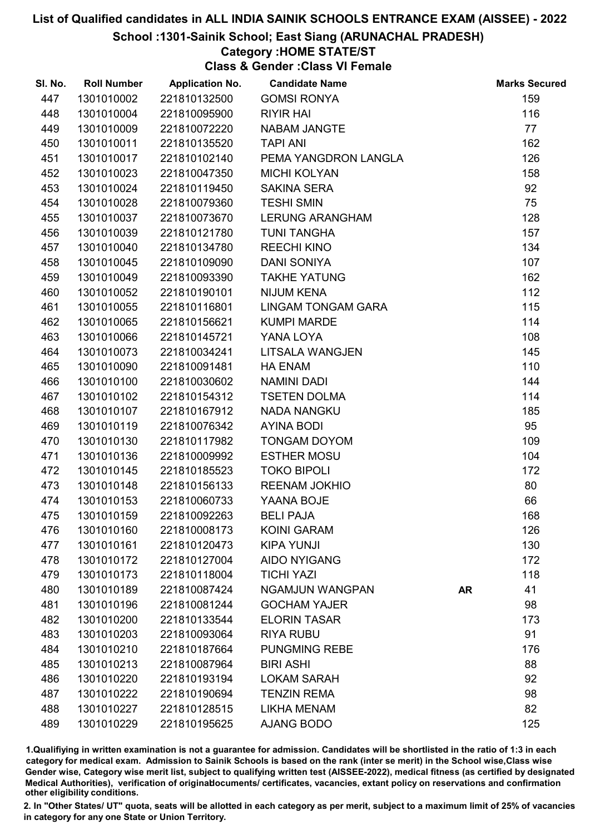## School :1301-Sainik School; East Siang (ARUNACHAL PRADESH)

#### Category :HOME STATE/ST

Class & Gender :Class VI Female

| SI. No. | <b>Roll Number</b> | <b>Application No.</b> | <b>Candidate Name</b>     |           | <b>Marks Secured</b> |
|---------|--------------------|------------------------|---------------------------|-----------|----------------------|
| 447     | 1301010002         | 221810132500           | <b>GOMSI RONYA</b>        |           | 159                  |
| 448     | 1301010004         | 221810095900           | <b>RIYIR HAI</b>          |           | 116                  |
| 449     | 1301010009         | 221810072220           | NABAM JANGTE              |           | 77                   |
| 450     | 1301010011         | 221810135520           | <b>TAPI ANI</b>           |           | 162                  |
| 451     | 1301010017         | 221810102140           | PEMA YANGDRON LANGLA      |           | 126                  |
| 452     | 1301010023         | 221810047350           | <b>MICHI KOLYAN</b>       |           | 158                  |
| 453     | 1301010024         | 221810119450           | <b>SAKINA SERA</b>        |           | 92                   |
| 454     | 1301010028         | 221810079360           | <b>TESHI SMIN</b>         |           | 75                   |
| 455     | 1301010037         | 221810073670           | <b>LERUNG ARANGHAM</b>    |           | 128                  |
| 456     | 1301010039         | 221810121780           | <b>TUNI TANGHA</b>        |           | 157                  |
| 457     | 1301010040         | 221810134780           | <b>REECHI KINO</b>        |           | 134                  |
| 458     | 1301010045         | 221810109090           | <b>DANI SONIYA</b>        |           | 107                  |
| 459     | 1301010049         | 221810093390           | <b>TAKHE YATUNG</b>       |           | 162                  |
| 460     | 1301010052         | 221810190101           | <b>NIJUM KENA</b>         |           | 112                  |
| 461     | 1301010055         | 221810116801           | <b>LINGAM TONGAM GARA</b> |           | 115                  |
| 462     | 1301010065         | 221810156621           | <b>KUMPI MARDE</b>        |           | 114                  |
| 463     | 1301010066         | 221810145721           | YANA LOYA                 |           | 108                  |
| 464     | 1301010073         | 221810034241           | LITSALA WANGJEN           |           | 145                  |
| 465     | 1301010090         | 221810091481           | <b>HA ENAM</b>            |           | 110                  |
| 466     | 1301010100         | 221810030602           | <b>NAMINI DADI</b>        |           | 144                  |
| 467     | 1301010102         | 221810154312           | <b>TSETEN DOLMA</b>       |           | 114                  |
| 468     | 1301010107         | 221810167912           | <b>NADA NANGKU</b>        |           | 185                  |
| 469     | 1301010119         | 221810076342           | <b>AYINA BODI</b>         |           | 95                   |
| 470     | 1301010130         | 221810117982           | <b>TONGAM DOYOM</b>       |           | 109                  |
| 471     | 1301010136         | 221810009992           | <b>ESTHER MOSU</b>        |           | 104                  |
| 472     | 1301010145         | 221810185523           | <b>TOKO BIPOLI</b>        |           | 172                  |
| 473     | 1301010148         | 221810156133           | <b>REENAM JOKHIO</b>      |           | 80                   |
| 474     | 1301010153         | 221810060733           | YAANA BOJE                |           | 66                   |
| 475     | 1301010159         | 221810092263           | <b>BELI PAJA</b>          |           | 168                  |
| 476     | 1301010160         | 221810008173           | <b>KOINI GARAM</b>        |           | 126                  |
| 477     | 1301010161         | 221810120473           | <b>KIPA YUNJI</b>         |           | 130                  |
| 478     | 1301010172         | 221810127004           | <b>AIDO NYIGANG</b>       |           | 172                  |
| 479     | 1301010173         | 221810118004           | <b>TICHI YAZI</b>         |           | 118                  |
| 480     | 1301010189         | 221810087424           | <b>NGAMJUN WANGPAN</b>    | <b>AR</b> | 41                   |
| 481     | 1301010196         | 221810081244           | <b>GOCHAM YAJER</b>       |           | 98                   |
| 482     | 1301010200         | 221810133544           | <b>ELORIN TASAR</b>       |           | 173                  |
| 483     | 1301010203         | 221810093064           | <b>RIYA RUBU</b>          |           | 91                   |
| 484     | 1301010210         | 221810187664           | <b>PUNGMING REBE</b>      |           | 176                  |
| 485     | 1301010213         | 221810087964           | <b>BIRI ASHI</b>          |           | 88                   |
| 486     | 1301010220         | 221810193194           | <b>LOKAM SARAH</b>        |           | 92                   |
| 487     | 1301010222         | 221810190694           | <b>TENZIN REMA</b>        |           | 98                   |
| 488     | 1301010227         | 221810128515           | <b>LIKHA MENAM</b>        |           | 82                   |
| 489     | 1301010229         | 221810195625           | AJANG BODO                |           | 125                  |

1.Qualifiying in written examination is not a guarantee for admission. Candidates will be shortlisted in the ratio of 1:3 in each category for medical exam. Admission to Sainik Schools is based on the rank (inter se merit) in the School wise,Class wise Gender wise, Category wise merit list, subject to qualifying written test (AISSEE-2022), medical fitness (as certified by designated Medical Authorities), verification of originablocuments/ certificates, vacancies, extant policy on reservations and confirmation other eligibility conditions.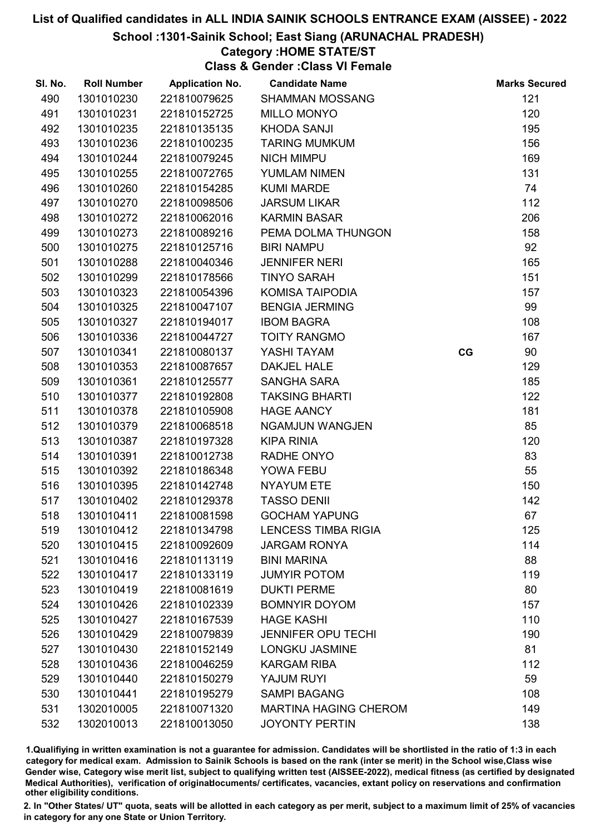## School :1301-Sainik School; East Siang (ARUNACHAL PRADESH)

#### Category :HOME STATE/ST

Class & Gender :Class VI Female

| SI. No. | <b>Roll Number</b> | <b>Application No.</b> | <b>Candidate Name</b>        |    | <b>Marks Secured</b> |
|---------|--------------------|------------------------|------------------------------|----|----------------------|
| 490     | 1301010230         | 221810079625           | <b>SHAMMAN MOSSANG</b>       |    | 121                  |
| 491     | 1301010231         | 221810152725           | <b>MILLO MONYO</b>           |    | 120                  |
| 492     | 1301010235         | 221810135135           | <b>KHODA SANJI</b>           |    | 195                  |
| 493     | 1301010236         | 221810100235           | <b>TARING MUMKUM</b>         |    | 156                  |
| 494     | 1301010244         | 221810079245           | <b>NICH MIMPU</b>            |    | 169                  |
| 495     | 1301010255         | 221810072765           | YUMLAM NIMEN                 |    | 131                  |
| 496     | 1301010260         | 221810154285           | <b>KUMI MARDE</b>            |    | 74                   |
| 497     | 1301010270         | 221810098506           | <b>JARSUM LIKAR</b>          |    | 112                  |
| 498     | 1301010272         | 221810062016           | <b>KARMIN BASAR</b>          |    | 206                  |
| 499     | 1301010273         | 221810089216           | PEMA DOLMA THUNGON           |    | 158                  |
| 500     | 1301010275         | 221810125716           | <b>BIRI NAMPU</b>            |    | 92                   |
| 501     | 1301010288         | 221810040346           | <b>JENNIFER NERI</b>         |    | 165                  |
| 502     | 1301010299         | 221810178566           | <b>TINYO SARAH</b>           |    | 151                  |
| 503     | 1301010323         | 221810054396           | <b>KOMISA TAIPODIA</b>       |    | 157                  |
| 504     | 1301010325         | 221810047107           | <b>BENGIA JERMING</b>        |    | 99                   |
| 505     | 1301010327         | 221810194017           | <b>IBOM BAGRA</b>            |    | 108                  |
| 506     | 1301010336         | 221810044727           | <b>TOITY RANGMO</b>          |    | 167                  |
| 507     | 1301010341         | 221810080137           | YASHI TAYAM                  | CG | 90                   |
| 508     | 1301010353         | 221810087657           | <b>DAKJEL HALE</b>           |    | 129                  |
| 509     | 1301010361         | 221810125577           | <b>SANGHA SARA</b>           |    | 185                  |
| 510     | 1301010377         | 221810192808           | <b>TAKSING BHARTI</b>        |    | 122                  |
| 511     | 1301010378         | 221810105908           | <b>HAGE AANCY</b>            |    | 181                  |
| 512     | 1301010379         | 221810068518           | <b>NGAMJUN WANGJEN</b>       |    | 85                   |
| 513     | 1301010387         | 221810197328           | <b>KIPA RINIA</b>            |    | 120                  |
| 514     | 1301010391         | 221810012738           | RADHE ONYO                   |    | 83                   |
| 515     | 1301010392         | 221810186348           | YOWA FEBU                    |    | 55                   |
| 516     | 1301010395         | 221810142748           | <b>NYAYUM ETE</b>            |    | 150                  |
| 517     | 1301010402         | 221810129378           | <b>TASSO DENII</b>           |    | 142                  |
| 518     | 1301010411         | 221810081598           | <b>GOCHAM YAPUNG</b>         |    | 67                   |
| 519     | 1301010412         | 221810134798           | <b>LENCESS TIMBA RIGIA</b>   |    | 125                  |
| 520     | 1301010415         | 221810092609           | <b>JARGAM RONYA</b>          |    | 114                  |
| 521     | 1301010416         | 221810113119           | <b>BINI MARINA</b>           |    | 88                   |
| 522     | 1301010417         | 221810133119           | <b>JUMYIR POTOM</b>          |    | 119                  |
| 523     | 1301010419         | 221810081619           | <b>DUKTI PERME</b>           |    | 80                   |
| 524     | 1301010426         | 221810102339           | <b>BOMNYIR DOYOM</b>         |    | 157                  |
| 525     | 1301010427         | 221810167539           | <b>HAGE KASHI</b>            |    | 110                  |
| 526     | 1301010429         | 221810079839           | <b>JENNIFER OPU TECHI</b>    |    | 190                  |
| 527     | 1301010430         | 221810152149           | <b>LONGKU JASMINE</b>        |    | 81                   |
| 528     | 1301010436         | 221810046259           | <b>KARGAM RIBA</b>           |    | 112                  |
| 529     | 1301010440         | 221810150279           | YAJUM RUYI                   |    | 59                   |
| 530     | 1301010441         | 221810195279           | <b>SAMPI BAGANG</b>          |    | 108                  |
| 531     | 1302010005         | 221810071320           | <b>MARTINA HAGING CHEROM</b> |    | 149                  |
| 532     | 1302010013         | 221810013050           | <b>JOYONTY PERTIN</b>        |    | 138                  |

1.Qualifiying in written examination is not a guarantee for admission. Candidates will be shortlisted in the ratio of 1:3 in each category for medical exam. Admission to Sainik Schools is based on the rank (inter se merit) in the School wise,Class wise Gender wise, Category wise merit list, subject to qualifying written test (AISSEE-2022), medical fitness (as certified by designated Medical Authorities), verification of originablocuments/ certificates, vacancies, extant policy on reservations and confirmation other eligibility conditions.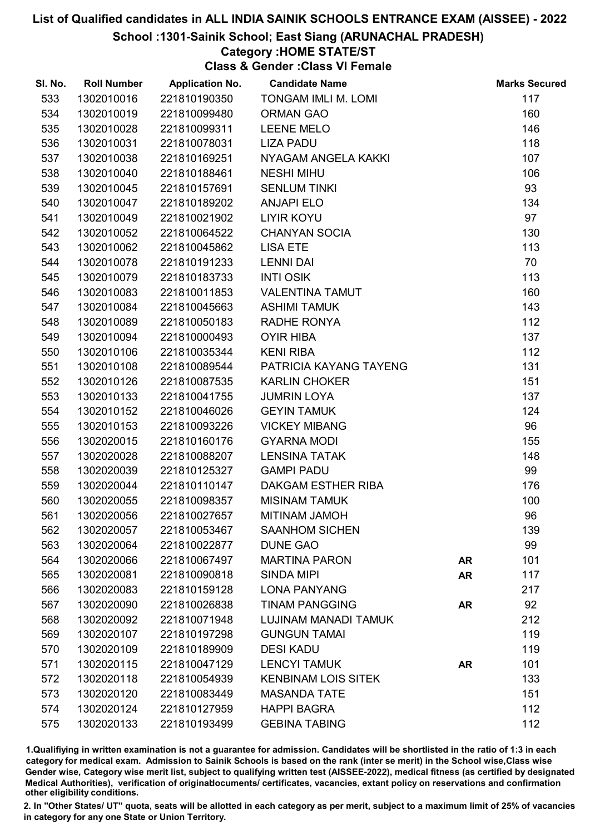## School :1301-Sainik School; East Siang (ARUNACHAL PRADESH)

### Category :HOME STATE/ST

Class & Gender :Class VI Female

| SI. No. | <b>Roll Number</b> | <b>Application No.</b> | <b>Candidate Name</b>       |           | <b>Marks Secured</b> |
|---------|--------------------|------------------------|-----------------------------|-----------|----------------------|
| 533     | 1302010016         | 221810190350           | <b>TONGAM IMLI M. LOMI</b>  |           | 117                  |
| 534     | 1302010019         | 221810099480           | <b>ORMAN GAO</b>            |           | 160                  |
| 535     | 1302010028         | 221810099311           | <b>LEENE MELO</b>           |           | 146                  |
| 536     | 1302010031         | 221810078031           | <b>LIZA PADU</b>            |           | 118                  |
| 537     | 1302010038         | 221810169251           | NYAGAM ANGELA KAKKI         |           | 107                  |
| 538     | 1302010040         | 221810188461           | <b>NESHI MIHU</b>           |           | 106                  |
| 539     | 1302010045         | 221810157691           | <b>SENLUM TINKI</b>         |           | 93                   |
| 540     | 1302010047         | 221810189202           | <b>ANJAPI ELO</b>           |           | 134                  |
| 541     | 1302010049         | 221810021902           | <b>LIYIR KOYU</b>           |           | 97                   |
| 542     | 1302010052         | 221810064522           | <b>CHANYAN SOCIA</b>        |           | 130                  |
| 543     | 1302010062         | 221810045862           | <b>LISA ETE</b>             |           | 113                  |
| 544     | 1302010078         | 221810191233           | <b>LENNI DAI</b>            |           | 70                   |
| 545     | 1302010079         | 221810183733           | <b>INTI OSIK</b>            |           | 113                  |
| 546     | 1302010083         | 221810011853           | <b>VALENTINA TAMUT</b>      |           | 160                  |
| 547     | 1302010084         | 221810045663           | <b>ASHIMI TAMUK</b>         |           | 143                  |
| 548     | 1302010089         | 221810050183           | RADHE RONYA                 |           | 112                  |
| 549     | 1302010094         | 221810000493           | <b>OYIR HIBA</b>            |           | 137                  |
| 550     | 1302010106         | 221810035344           | <b>KENI RIBA</b>            |           | 112                  |
| 551     | 1302010108         | 221810089544           | PATRICIA KAYANG TAYENG      |           | 131                  |
| 552     | 1302010126         | 221810087535           | <b>KARLIN CHOKER</b>        |           | 151                  |
| 553     | 1302010133         | 221810041755           | <b>JUMRIN LOYA</b>          |           | 137                  |
| 554     | 1302010152         | 221810046026           | <b>GEYIN TAMUK</b>          |           | 124                  |
| 555     | 1302010153         | 221810093226           | <b>VICKEY MIBANG</b>        |           | 96                   |
| 556     | 1302020015         | 221810160176           | <b>GYARNA MODI</b>          |           | 155                  |
| 557     | 1302020028         | 221810088207           | <b>LENSINA TATAK</b>        |           | 148                  |
| 558     | 1302020039         | 221810125327           | <b>GAMPI PADU</b>           |           | 99                   |
| 559     | 1302020044         | 221810110147           | DAKGAM ESTHER RIBA          |           | 176                  |
| 560     | 1302020055         | 221810098357           | <b>MISINAM TAMUK</b>        |           | 100                  |
| 561     | 1302020056         | 221810027657           | <b>MITINAM JAMOH</b>        |           | 96                   |
| 562     | 1302020057         | 221810053467           | <b>SAANHOM SICHEN</b>       |           | 139                  |
| 563     | 1302020064         | 221810022877           | <b>DUNE GAO</b>             |           | 99                   |
| 564     | 1302020066         | 221810067497           | <b>MARTINA PARON</b>        | <b>AR</b> | 101                  |
| 565     | 1302020081         | 221810090818           | <b>SINDA MIPI</b>           | <b>AR</b> | 117                  |
| 566     | 1302020083         | 221810159128           | <b>LONA PANYANG</b>         |           | 217                  |
| 567     | 1302020090         | 221810026838           | <b>TINAM PANGGING</b>       | <b>AR</b> | 92                   |
| 568     | 1302020092         | 221810071948           | <b>LUJINAM MANADI TAMUK</b> |           | 212                  |
| 569     | 1302020107         | 221810197298           | <b>GUNGUN TAMAI</b>         |           | 119                  |
| 570     | 1302020109         | 221810189909           | <b>DESI KADU</b>            |           | 119                  |
| 571     | 1302020115         | 221810047129           | <b>LENCYI TAMUK</b>         | <b>AR</b> | 101                  |
| 572     | 1302020118         | 221810054939           | <b>KENBINAM LOIS SITEK</b>  |           | 133                  |
| 573     | 1302020120         | 221810083449           | <b>MASANDA TATE</b>         |           | 151                  |
| 574     | 1302020124         | 221810127959           | <b>HAPPI BAGRA</b>          |           | 112                  |
| 575     | 1302020133         | 221810193499           | <b>GEBINA TABING</b>        |           | 112                  |

1.Qualifiying in written examination is not a guarantee for admission. Candidates will be shortlisted in the ratio of 1:3 in each category for medical exam. Admission to Sainik Schools is based on the rank (inter se merit) in the School wise,Class wise Gender wise, Category wise merit list, subject to qualifying written test (AISSEE-2022), medical fitness (as certified by designated Medical Authorities), verification of originablocuments/ certificates, vacancies, extant policy on reservations and confirmation other eligibility conditions.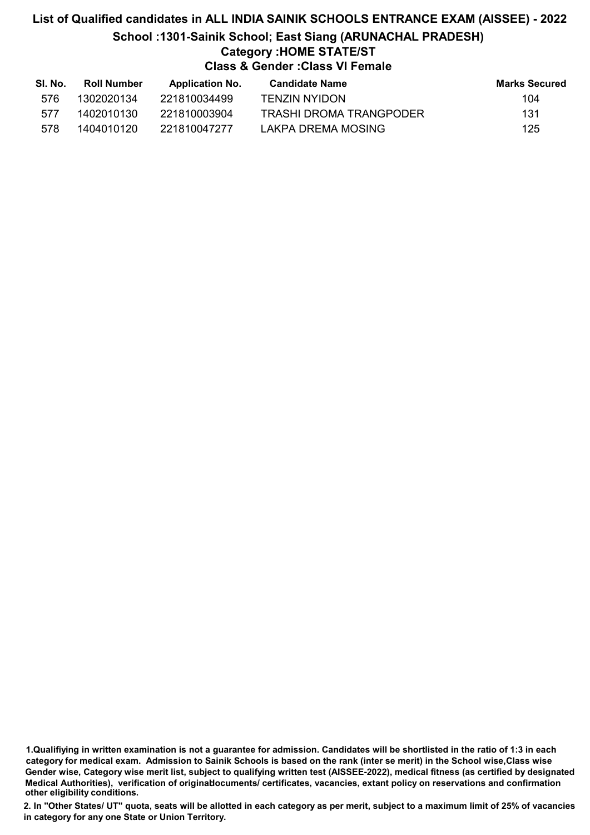### List of Qualified candidates in ALL INDIA SAINIK SCHOOLS ENTRANCE EXAM (AISSEE) - 2022 School :1301-Sainik School; East Siang (ARUNACHAL PRADESH) Category :HOME STATE/ST Class & Gender :Class VI Female

| SI. No. | Roll Number | <b>Application No.</b> | Candidate Name          | <b>Marks Secured</b> |
|---------|-------------|------------------------|-------------------------|----------------------|
| 576     | 1302020134  | 221810034499           | TENZIN NYIDON           | 104                  |
| 577     | 1402010130  | 221810003904           | TRASHI DROMA TRANGPODER | 131                  |
| 578     | 1404010120  | - 221810047277         | LAKPA DREMA MOSING      | 125                  |

1.Qualifiying in written examination is not a guarantee for admission. Candidates will be shortlisted in the ratio of 1:3 in each category for medical exam. Admission to Sainik Schools is based on the rank (inter se merit) in the School wise,Class wise Gender wise, Category wise merit list, subject to qualifying written test (AISSEE-2022), medical fitness (as certified by designated Medical Authorities), verification of originablocuments/ certificates, vacancies, extant policy on reservations and confirmation other eligibility conditions.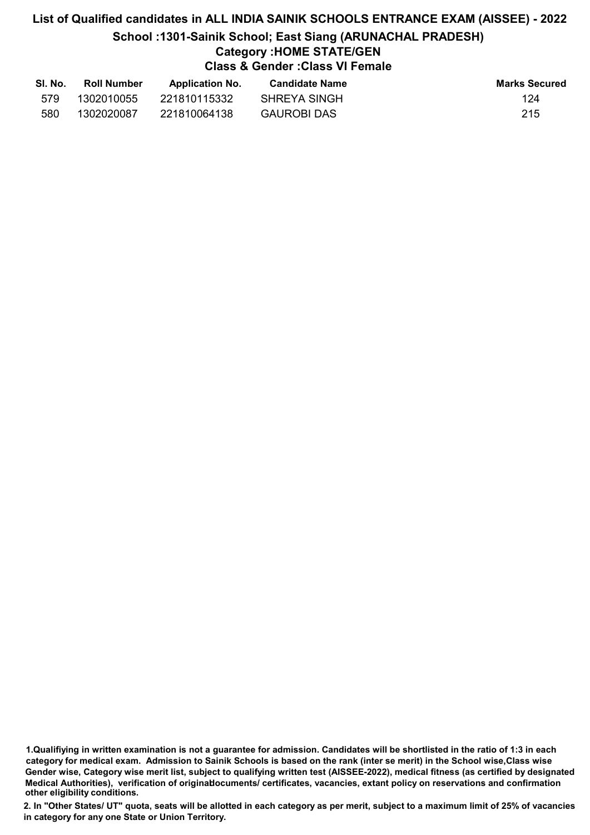# List of Qualified candidates in ALL INDIA SAINIK SCHOOLS ENTRANCE EXAM (AISSEE) - 2022 School :1301-Sainik School; East Siang (ARUNACHAL PRADESH) Category :HOME STATE/GEN Class & Gender :Class VI Female

| SI. No. | <b>Roll Number</b> | <b>Application No.</b> | <b>Candidate Name</b> | Marks Secured |
|---------|--------------------|------------------------|-----------------------|---------------|
| 579     | 1302010055         | 221810115332           | SHREYA SINGH          | 124           |
| 580     | 1302020087         | 221810064138           | <b>GAUROBI DAS</b>    | 215           |

<sup>1.</sup>Qualifiying in written examination is not a guarantee for admission. Candidates will be shortlisted in the ratio of 1:3 in each category for medical exam. Admission to Sainik Schools is based on the rank (inter se merit) in the School wise,Class wise Gender wise, Category wise merit list, subject to qualifying written test (AISSEE-2022), medical fitness (as certified by designated Medical Authorities), verification of originablocuments/ certificates, vacancies, extant policy on reservations and confirmation other eligibility conditions.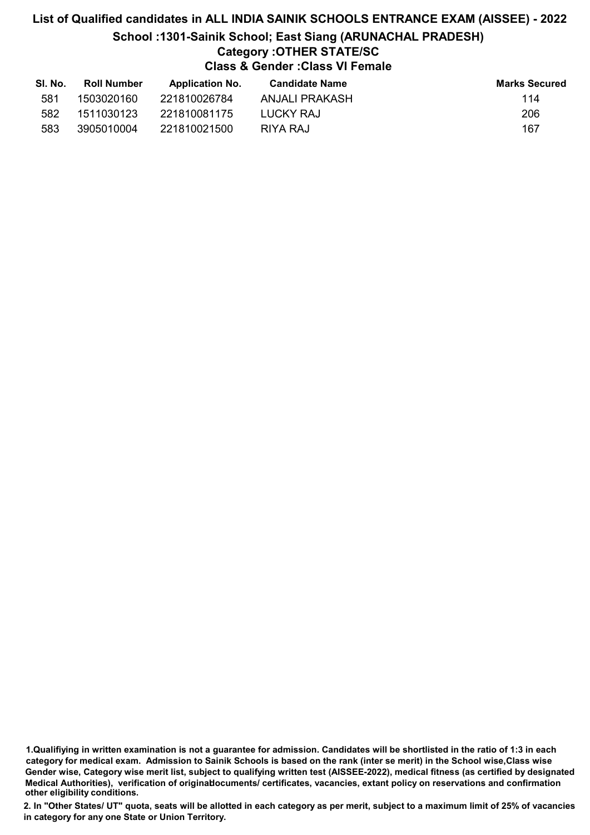# List of Qualified candidates in ALL INDIA SAINIK SCHOOLS ENTRANCE EXAM (AISSEE) - 2022 School :1301-Sainik School; East Siang (ARUNACHAL PRADESH) Category :OTHER STATE/SC Class & Gender :Class VI Female

| SI. No. | <b>Roll Number</b> | <b>Application No.</b> | <b>Candidate Name</b> | <b>Marks Secured</b> |
|---------|--------------------|------------------------|-----------------------|----------------------|
| 581     | 1503020160         | 221810026784           | ANJALI PRAKASH        | 114                  |
| 582     | 1511030123         | 221810081175           | LUCKY RAJ             | 206                  |
| 583     | 3905010004         | 221810021500           | RIYA RAJ              | 167                  |

1.Qualifiying in written examination is not a guarantee for admission. Candidates will be shortlisted in the ratio of 1:3 in each category for medical exam. Admission to Sainik Schools is based on the rank (inter se merit) in the School wise,Class wise Gender wise, Category wise merit list, subject to qualifying written test (AISSEE-2022), medical fitness (as certified by designated Medical Authorities), verification of originablocuments/ certificates, vacancies, extant policy on reservations and confirmation other eligibility conditions.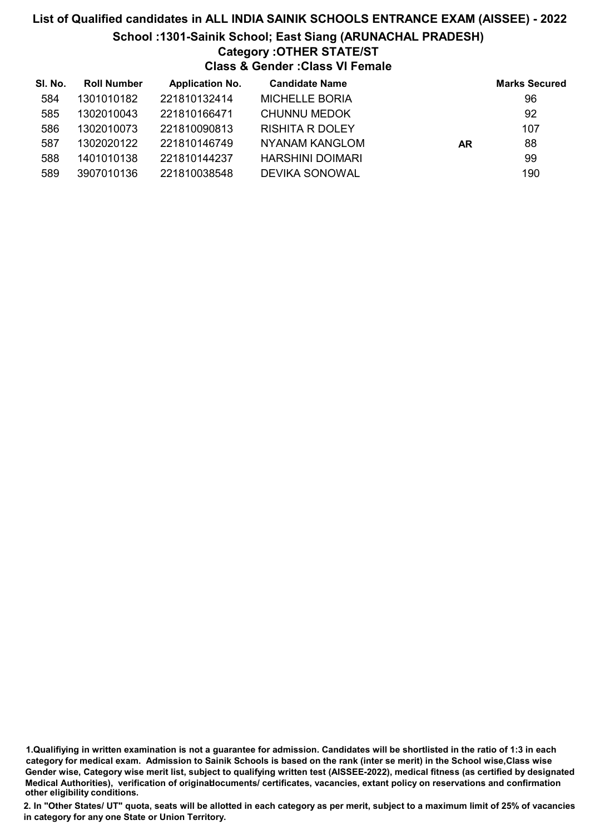## List of Qualified candidates in ALL INDIA SAINIK SCHOOLS ENTRANCE EXAM (AISSEE) - 2022 School :1301-Sainik School; East Siang (ARUNACHAL PRADESH) Category :OTHER STATE/ST Class & Gender :Class VI Female

| SI. No. | <b>Roll Number</b> | <b>Application No.</b> | <b>Candidate Name</b>  |    | <b>Marks Secured</b> |
|---------|--------------------|------------------------|------------------------|----|----------------------|
| 584     | 1301010182         | 221810132414           | <b>MICHELLE BORIA</b>  |    | 96                   |
| 585     | 1302010043         | 221810166471           | CHUNNU MEDOK           |    | 92                   |
| 586     | 1302010073         | 221810090813           | <b>RISHITA R DOLEY</b> |    | 107                  |
| 587     | 1302020122         | 221810146749           | NYANAM KANGLOM         | AR | 88                   |
| 588     | 1401010138         | 221810144237           | HARSHINI DOIMARI       |    | 99                   |
| 589     | 3907010136         | 221810038548           | <b>DEVIKA SONOWAL</b>  |    | 190                  |

1.Qualifiying in written examination is not a guarantee for admission. Candidates will be shortlisted in the ratio of 1:3 in each category for medical exam. Admission to Sainik Schools is based on the rank (inter se merit) in the School wise,Class wise Gender wise, Category wise merit list, subject to qualifying written test (AISSEE-2022), medical fitness (as certified by designated Medical Authorities), verification of originablocuments/ certificates, vacancies, extant policy on reservations and confirmation other eligibility conditions.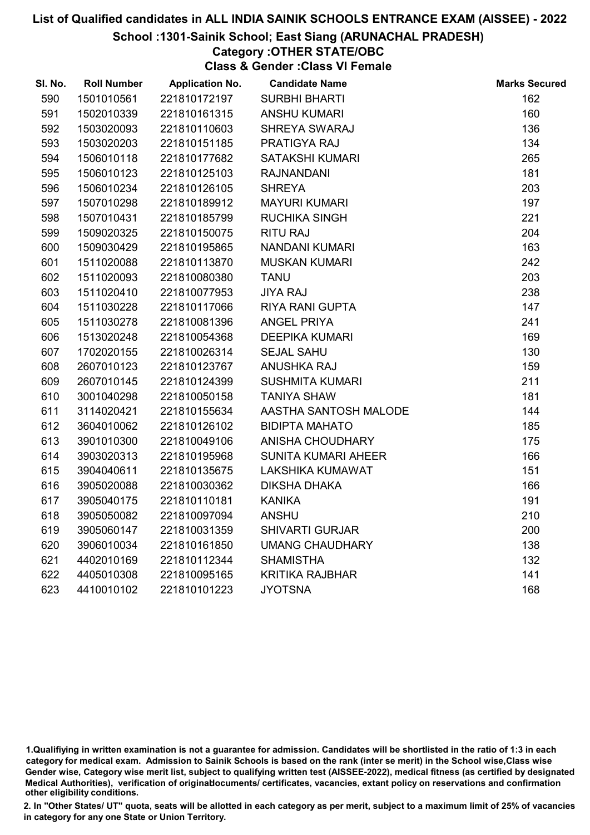#### School :1301-Sainik School; East Siang (ARUNACHAL PRADESH)

### Category :OTHER STATE/OBC

Class & Gender :Class VI Female

| SI. No. | <b>Roll Number</b> | <b>Application No.</b> | <b>Candidate Name</b>      | <b>Marks Secured</b> |
|---------|--------------------|------------------------|----------------------------|----------------------|
| 590     | 1501010561         | 221810172197           | <b>SURBHI BHARTI</b>       | 162                  |
| 591     | 1502010339         | 221810161315           | <b>ANSHU KUMARI</b>        | 160                  |
| 592     | 1503020093         | 221810110603           | <b>SHREYA SWARAJ</b>       | 136                  |
| 593     | 1503020203         | 221810151185           | <b>PRATIGYA RAJ</b>        | 134                  |
| 594     | 1506010118         | 221810177682           | <b>SATAKSHI KUMARI</b>     | 265                  |
| 595     | 1506010123         | 221810125103           | <b>RAJNANDANI</b>          | 181                  |
| 596     | 1506010234         | 221810126105           | <b>SHREYA</b>              | 203                  |
| 597     | 1507010298         | 221810189912           | <b>MAYURI KUMARI</b>       | 197                  |
| 598     | 1507010431         | 221810185799           | <b>RUCHIKA SINGH</b>       | 221                  |
| 599     | 1509020325         | 221810150075           | <b>RITU RAJ</b>            | 204                  |
| 600     | 1509030429         | 221810195865           | <b>NANDANI KUMARI</b>      | 163                  |
| 601     | 1511020088         | 221810113870           | <b>MUSKAN KUMARI</b>       | 242                  |
| 602     | 1511020093         | 221810080380           | <b>TANU</b>                | 203                  |
| 603     | 1511020410         | 221810077953           | <b>JIYA RAJ</b>            | 238                  |
| 604     | 1511030228         | 221810117066           | <b>RIYA RANI GUPTA</b>     | 147                  |
| 605     | 1511030278         | 221810081396           | <b>ANGEL PRIYA</b>         | 241                  |
| 606     | 1513020248         | 221810054368           | <b>DEEPIKA KUMARI</b>      | 169                  |
| 607     | 1702020155         | 221810026314           | <b>SEJAL SAHU</b>          | 130                  |
| 608     | 2607010123         | 221810123767           | ANUSHKA RAJ                | 159                  |
| 609     | 2607010145         | 221810124399           | <b>SUSHMITA KUMARI</b>     | 211                  |
| 610     | 3001040298         | 221810050158           | <b>TANIYA SHAW</b>         | 181                  |
| 611     | 3114020421         | 221810155634           | AASTHA SANTOSH MALODE      | 144                  |
| 612     | 3604010062         | 221810126102           | <b>BIDIPTA MAHATO</b>      | 185                  |
| 613     | 3901010300         | 221810049106           | ANISHA CHOUDHARY           | 175                  |
| 614     | 3903020313         | 221810195968           | <b>SUNITA KUMARI AHEER</b> | 166                  |
| 615     | 3904040611         | 221810135675           | LAKSHIKA KUMAWAT           | 151                  |
| 616     | 3905020088         | 221810030362           | <b>DIKSHA DHAKA</b>        | 166                  |
| 617     | 3905040175         | 221810110181           | <b>KANIKA</b>              | 191                  |
| 618     | 3905050082         | 221810097094           | <b>ANSHU</b>               | 210                  |
| 619     | 3905060147         | 221810031359           | <b>SHIVARTI GURJAR</b>     | 200                  |
| 620     | 3906010034         | 221810161850           | <b>UMANG CHAUDHARY</b>     | 138                  |
| 621     | 4402010169         | 221810112344           | <b>SHAMISTHA</b>           | 132                  |
| 622     | 4405010308         | 221810095165           | <b>KRITIKA RAJBHAR</b>     | 141                  |
| 623     | 4410010102         | 221810101223           | <b>JYOTSNA</b>             | 168                  |

<sup>1.</sup>Qualifiying in written examination is not a guarantee for admission. Candidates will be shortlisted in the ratio of 1:3 in each category for medical exam. Admission to Sainik Schools is based on the rank (inter se merit) in the School wise,Class wise Gender wise, Category wise merit list, subject to qualifying written test (AISSEE-2022), medical fitness (as certified by designated Medical Authorities), verification of originablocuments/ certificates, vacancies, extant policy on reservations and confirmation other eligibility conditions.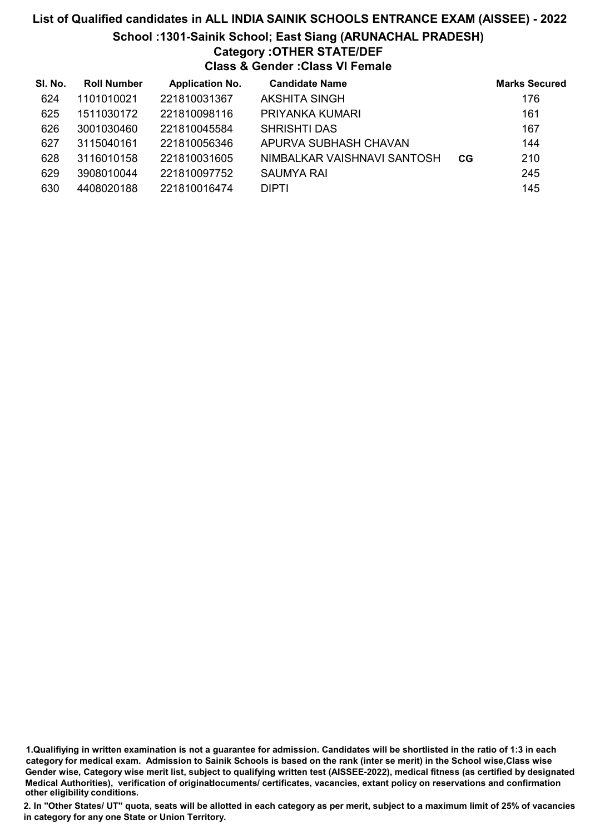### List of Qualified candidates in ALL INDIA SAINIK SCHOOLS ENTRANCE EXAM (AISSEE) - 2022 School :1301-Sainik School; East Siang (ARUNACHAL PRADESH) Category :OTHER STATE/DEF Class & Gender :Class VI Female

| SI. No. | <b>Roll Number</b> | <b>Application No.</b> | <b>Candidate Name</b>       |    | <b>Marks Secured</b> |
|---------|--------------------|------------------------|-----------------------------|----|----------------------|
| 624     | 1101010021         | 221810031367           | <b>AKSHITA SINGH</b>        |    | 176                  |
| 625     | 1511030172         | 221810098116           | PRIYANKA KUMARI             |    | 161                  |
| 626     | 3001030460         | 221810045584           | <b>SHRISHTI DAS</b>         |    | 167                  |
| 627     | 3115040161         | 221810056346           | APURVA SUBHASH CHAVAN       |    | 144                  |
| 628     | 3116010158         | 221810031605           | NIMBALKAR VAISHNAVI SANTOSH | CG | 210                  |
| 629     | 3908010044         | 221810097752           | <b>SAUMYA RAI</b>           |    | 245                  |
| 630     | 4408020188         | 221810016474           | <b>DIPTI</b>                |    | 145                  |

<sup>1.</sup>Qualifiying in written examination is not a guarantee for admission. Candidates will be shortlisted in the ratio of 1:3 in each category for medical exam. Admission to Sainik Schools is based on the rank (inter se merit) in the School wise,Class wise Gender wise, Category wise merit list, subject to qualifying written test (AISSEE-2022), medical fitness (as certified by designated Medical Authorities), verification of originablocuments/ certificates, vacancies, extant policy on reservations and confirmation other eligibility conditions.